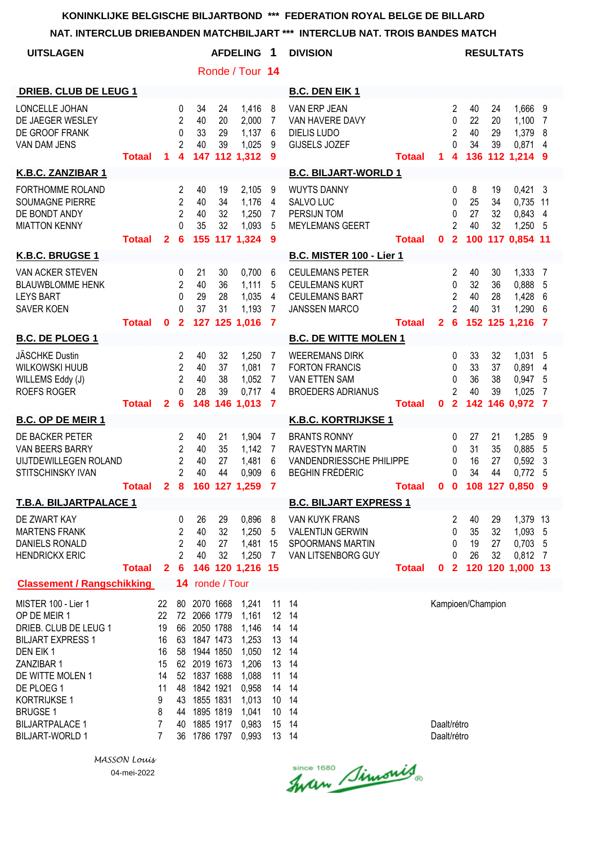| <b>UITSLAGEN</b>                                                                                                                                                                                                                            |               |                                                                  |                                                              |                                                                                                                                                                         |                             | <b>AFDELING</b>                                                                                          | -1                                                       | <b>DIVISION</b>                                                                                     |               |                            |                                                 | <b>RESULTATS</b>            |                      |                                                             |                        |
|---------------------------------------------------------------------------------------------------------------------------------------------------------------------------------------------------------------------------------------------|---------------|------------------------------------------------------------------|--------------------------------------------------------------|-------------------------------------------------------------------------------------------------------------------------------------------------------------------------|-----------------------------|----------------------------------------------------------------------------------------------------------|----------------------------------------------------------|-----------------------------------------------------------------------------------------------------|---------------|----------------------------|-------------------------------------------------|-----------------------------|----------------------|-------------------------------------------------------------|------------------------|
|                                                                                                                                                                                                                                             |               |                                                                  |                                                              |                                                                                                                                                                         |                             | Ronde / Tour 14                                                                                          |                                                          |                                                                                                     |               |                            |                                                 |                             |                      |                                                             |                        |
| <b>DRIEB. CLUB DE LEUG 1</b>                                                                                                                                                                                                                |               |                                                                  |                                                              |                                                                                                                                                                         |                             |                                                                                                          |                                                          | <b>B.C. DEN EIK 1</b>                                                                               |               |                            |                                                 |                             |                      |                                                             |                        |
| LONCELLE JOHAN<br>DE JAEGER WESLEY<br>DE GROOF FRANK<br>VAN DAM JENS                                                                                                                                                                        | <b>Totaal</b> | 1                                                                | 0<br>$\overline{2}$<br>$\pmb{0}$<br>$\overline{2}$<br>4      | 34<br>40<br>33<br>40<br>147                                                                                                                                             | 24<br>20<br>29<br>39        | 1,416<br>2,000<br>1,137<br>1,025<br>112 1,312                                                            | 8<br>7<br>6<br>9<br>9                                    | VAN ERP JEAN<br>VAN HAVERE DAVY<br><b>DIELIS LUDO</b><br>GIJSELS JOZEF                              | <b>Totaal</b> | 1                          | 2<br>0<br>$\overline{2}$<br>0<br>4              | 40<br>22<br>40<br>34        | 24<br>20<br>29<br>39 | 1,666<br>1,100<br>1,379<br>0,871<br>136 112 1,214 9         | 9<br>7<br>8<br>4       |
| K.B.C. ZANZIBAR 1                                                                                                                                                                                                                           |               |                                                                  |                                                              |                                                                                                                                                                         |                             |                                                                                                          |                                                          | <b>B.C. BILJART-WORLD 1</b>                                                                         |               |                            |                                                 |                             |                      |                                                             |                        |
| FORTHOMME ROLAND<br>SOUMAGNE PIERRE<br>DE BONDT ANDY<br><b>MIATTON KENNY</b>                                                                                                                                                                | <b>Totaal</b> | $\mathbf{2}$                                                     | 2<br>$\overline{2}$<br>$\overline{2}$<br>0<br>6              | 40<br>40<br>40<br>35<br>155                                                                                                                                             | 19<br>34<br>32<br>32        | 2,105<br>1,176<br>1,250<br>1,093<br>117 1,324                                                            | 9<br>4<br>7<br>5<br>9                                    | <b>WUYTS DANNY</b><br>SALVO LUC<br>PERSIJN TOM<br><b>MEYLEMANS GEERT</b>                            | <b>Totaal</b> | 0                          | 0<br>0<br>0<br>2<br>$\overline{2}$              | 8<br>25<br>27<br>40         | 19<br>34<br>32<br>32 | 0,421<br>0,735<br>0,843 4<br>1,250<br>100 117 0.854 11      | -3<br>11<br>-5         |
| K.B.C. BRUGSE 1                                                                                                                                                                                                                             |               |                                                                  |                                                              |                                                                                                                                                                         |                             |                                                                                                          |                                                          | B.C. MISTER 100 - Lier 1                                                                            |               |                            |                                                 |                             |                      |                                                             |                        |
| VAN ACKER STEVEN<br><b>BLAUWBLOMME HENK</b><br><b>LEYS BART</b><br><b>SAVER KOEN</b>                                                                                                                                                        | <b>Totaal</b> | 0                                                                | 0<br>$\overline{2}$<br>$\Omega$<br>$\Omega$<br>$\mathbf{2}$  | 21<br>40<br>29<br>37<br>127                                                                                                                                             | 30<br>36<br>28<br>31        | 0,700<br>1,111<br>1,035<br>1,193<br>125 1,016                                                            | 6<br>5<br>4<br>7<br>$\overline{7}$                       | <b>CEULEMANS PETER</b><br><b>CEULEMANS KURT</b><br><b>CEULEMANS BART</b><br><b>JANSSEN MARCO</b>    | <b>Totaal</b> | $\mathbf{2}$               | 2<br>$\Omega$<br>$\overline{2}$<br>2<br>6       | 40<br>32<br>40<br>40        | 30<br>36<br>28<br>31 | 1,333<br>0,888<br>1,428<br>1,290<br>152 125 1,216           | 7<br>5<br>6<br>6<br>-7 |
| <b>B.C. DE PLOEG 1</b>                                                                                                                                                                                                                      |               |                                                                  |                                                              |                                                                                                                                                                         |                             |                                                                                                          |                                                          | <b>B.C. DE WITTE MOLEN 1</b>                                                                        |               |                            |                                                 |                             |                      |                                                             |                        |
| JÄSCHKE Dustin<br>WILKOWSKI HUUB<br>WILLEMS Eddy (J)<br><b>ROEFS ROGER</b>                                                                                                                                                                  | <b>Totaal</b> | $\mathbf{2}$                                                     | 2<br>$\overline{c}$<br>$\overline{2}$<br>0<br>6              | 40<br>40<br>40<br>28<br>148                                                                                                                                             | 32<br>37<br>38<br>39        | 1,250<br>1,081<br>1,052<br>0,717<br>146 1,013                                                            | 7<br>7<br>7<br>4<br>7                                    | <b>WEEREMANS DIRK</b><br><b>FORTON FRANCIS</b><br>VAN ETTEN SAM<br><b>BROEDERS ADRIANUS</b>         | <b>Totaal</b> | 0                          | 0<br>0<br>0<br>$\overline{c}$<br>$\overline{2}$ | 33<br>33<br>36<br>40        | 32<br>37<br>38<br>39 | 1,031<br>0,891<br>0,947<br>1,025<br>142 146 0,972           | 5<br>4<br>5<br>7<br>7  |
| <b>B.C. OP DE MEIR 1</b>                                                                                                                                                                                                                    |               |                                                                  |                                                              |                                                                                                                                                                         |                             |                                                                                                          |                                                          | <b>K.B.C. KORTRIJKSE 1</b>                                                                          |               |                            |                                                 |                             |                      |                                                             |                        |
| DE BACKER PETER<br>VAN BEERS BARRY<br>UIJTDEWILLEGEN ROLAND<br>STITSCHINSKY IVAN                                                                                                                                                            | <b>Totaal</b> | 2                                                                | 2<br>2<br>$\overline{c}$<br>$\overline{2}$<br>8              | 40<br>40<br>40<br>40<br>160                                                                                                                                             | 21<br>35<br>27<br>44<br>127 | 1,904<br>1,142<br>1,481<br>0,909<br>1,259                                                                | 7<br>7<br>6<br>6<br>7                                    | <b>BRANTS RONNY</b><br><b>RAVESTYN MARTIN</b><br>VANDENDRIESSCHE PHILIPPE<br><b>BEGHIN FRÉDÉRIC</b> | <b>Totaal</b> | 0                          | 0<br>0<br>0<br>0<br>$\mathbf 0$                 | 27<br>31<br>16<br>34<br>108 | 21<br>35<br>27<br>44 | 1,285<br>0,885<br>0,592<br>0,772<br>127 0,850               | 9<br>5<br>3<br>5<br>9  |
| T.B.A. BILJARTPALACE 1                                                                                                                                                                                                                      |               |                                                                  |                                                              |                                                                                                                                                                         |                             |                                                                                                          |                                                          | <b>B.C. BILJART EXPRESS 1</b>                                                                       |               |                            |                                                 |                             |                      |                                                             |                        |
| DE ZWART KAY<br><b>MARTENS FRANK</b><br>DANIELS RONALD<br><b>HENDRICKX ERIC</b>                                                                                                                                                             | <b>Totaal</b> | 2                                                                | 0<br>$\overline{c}$<br>$\overline{2}$<br>$\overline{2}$<br>6 | 26<br>40<br>40<br>40                                                                                                                                                    | 29<br>32<br>27<br>32        | 0,896<br>1,250<br>1,481<br>1,250<br>146 120 1,216 15                                                     | 8<br>5<br>15<br>7                                        | VAN KUYK FRANS<br><b>VALENTIJN GERWIN</b><br><b>SPOORMANS MARTIN</b><br>VAN LITSENBORG GUY          | <b>Totaal</b> | 0                          | 2<br>0<br>0<br>0<br>$\overline{2}$              | 40<br>35<br>19<br>26        | 29<br>32<br>27<br>32 | 1,379 13<br>1,093<br>$0,703$ 5<br>0,812<br>120 120 1,000 13 | 5<br>7                 |
| <b>Classement / Rangschikking</b>                                                                                                                                                                                                           |               |                                                                  |                                                              | 14 ronde / Tour                                                                                                                                                         |                             |                                                                                                          |                                                          |                                                                                                     |               |                            |                                                 |                             |                      |                                                             |                        |
| MISTER 100 - Lier 1<br>OP DE MEIR 1<br>DRIEB. CLUB DE LEUG 1<br><b>BILJART EXPRESS 1</b><br>DEN EIK1<br>ZANZIBAR 1<br>DE WITTE MOLEN 1<br>DE PLOEG 1<br>KORTRIJKSE 1<br><b>BRUGSE 1</b><br><b>BILJARTPALACE 1</b><br><b>BILJART-WORLD 1</b> |               | 22<br>22<br>19<br>16<br>16<br>15<br>14<br>11<br>9<br>8<br>7<br>7 | 63<br>58<br>48<br>43<br>44<br>40<br>36                       | 80 2070 1668<br>72 2066 1779<br>66 2050 1788<br>1847 1473<br>1944 1850<br>62 2019 1673<br>52 1837 1688<br>1842 1921<br>1855 1831<br>1895 1819<br>1885 1917<br>1786 1797 |                             | 1,241<br>1,161<br>1,146<br>1,253<br>1,050<br>1,206<br>1,088<br>0,958<br>1,013<br>1,041<br>0,983<br>0,993 | 11<br>14<br>13<br>13<br>11<br>14<br>10<br>10<br>15<br>13 | 14<br>12 14<br>14<br>14<br>12 14<br>14<br>14<br>14<br>14<br>14<br>14<br>14                          |               | Daalt/rétro<br>Daalt/rétro |                                                 | Kampioen/Champion           |                      |                                                             |                        |

*MASSON Louis* 04-mei-2022

Since 1680 Simonis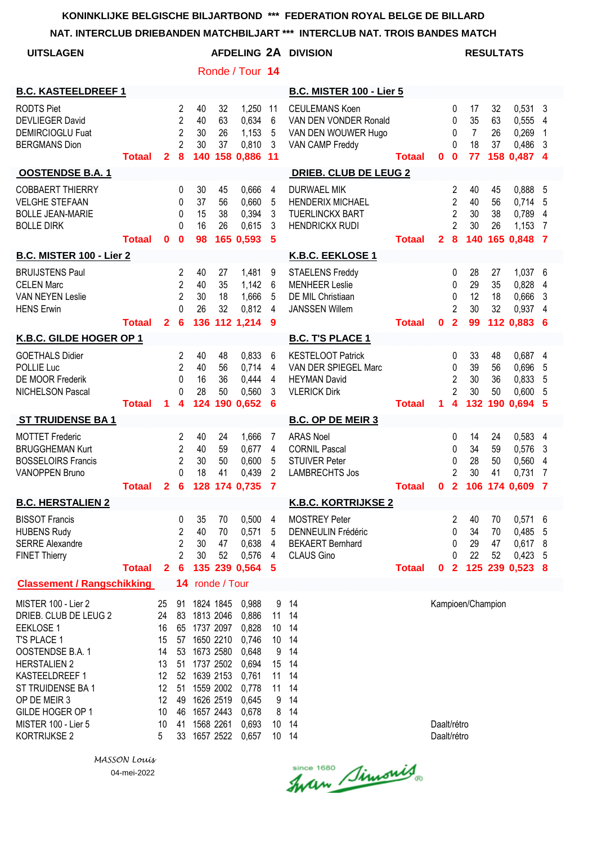| NAI. INTERCLUB DRIEBANDEN MATCHBILJART                                                                                                                                                                                                       |                                                                                                                                                                                                                                                        |              |                                                                            |                             |                             |                                                                                                                       |                                                                         | AN INTERCLUB NAT. TROIS BANDES MATCH                                                             |               |                            |                                                                     |                                        |                             |                                                           |                          |
|----------------------------------------------------------------------------------------------------------------------------------------------------------------------------------------------------------------------------------------------|--------------------------------------------------------------------------------------------------------------------------------------------------------------------------------------------------------------------------------------------------------|--------------|----------------------------------------------------------------------------|-----------------------------|-----------------------------|-----------------------------------------------------------------------------------------------------------------------|-------------------------------------------------------------------------|--------------------------------------------------------------------------------------------------|---------------|----------------------------|---------------------------------------------------------------------|----------------------------------------|-----------------------------|-----------------------------------------------------------|--------------------------|
| <b>UITSLAGEN</b>                                                                                                                                                                                                                             |                                                                                                                                                                                                                                                        |              |                                                                            |                             |                             |                                                                                                                       |                                                                         | AFDELING 2A DIVISION                                                                             |               |                            |                                                                     |                                        | <b>RESULTATS</b>            |                                                           |                          |
|                                                                                                                                                                                                                                              |                                                                                                                                                                                                                                                        |              |                                                                            |                             |                             | Ronde / Tour 14                                                                                                       |                                                                         |                                                                                                  |               |                            |                                                                     |                                        |                             |                                                           |                          |
| <b>B.C. KASTEELDREEF 1</b>                                                                                                                                                                                                                   |                                                                                                                                                                                                                                                        |              |                                                                            |                             |                             |                                                                                                                       |                                                                         | <b>B.C. MISTER 100 - Lier 5</b>                                                                  |               |                            |                                                                     |                                        |                             |                                                           |                          |
| <b>RODTS Piet</b><br><b>DEVLIEGER David</b><br><b>DEMIRCIOGLU Fuat</b><br><b>BERGMANS Dion</b>                                                                                                                                               | <b>Totaal</b>                                                                                                                                                                                                                                          | $\mathbf{2}$ | $\overline{2}$<br>$\overline{2}$<br>$\overline{2}$<br>$\overline{2}$<br>8  | 40<br>40<br>30<br>30<br>140 | 32<br>63<br>26<br>37        | 1,250<br>0,634<br>1,153<br>0,810<br>158 0,886                                                                         | 11<br>6<br>5<br>3<br>11                                                 | <b>CEULEMANS Koen</b><br>VAN DEN VONDER Ronald<br>VAN DEN WOUWER Hugo<br>VAN CAMP Freddy         | <b>Totaal</b> | 0                          | 0<br>0<br>0<br>$\Omega$<br>$\mathbf 0$                              | 17<br>35<br>$\overline{7}$<br>18<br>77 | 32<br>63<br>26<br>37        | 0,531<br>0,555 4<br>0,269<br>0,486<br>158 0,487 4         | -3<br>$\mathbf{1}$<br>-3 |
| <b>OOSTENDSE B.A.1</b>                                                                                                                                                                                                                       |                                                                                                                                                                                                                                                        |              |                                                                            |                             |                             |                                                                                                                       |                                                                         | <b>DRIEB. CLUB DE LEUG 2</b>                                                                     |               |                            |                                                                     |                                        |                             |                                                           |                          |
| <b>COBBAERT THIERRY</b><br><b>VELGHE STEFAAN</b><br><b>BOLLE JEAN-MARIE</b><br><b>BOLLE DIRK</b>                                                                                                                                             | <b>Totaal</b>                                                                                                                                                                                                                                          | 0            | $\mathbf{0}$<br>0<br>0<br>$\Omega$<br>$\mathbf{0}$                         | 30<br>37<br>15<br>16<br>98  | 45<br>56<br>38<br>26        | 0,666<br>0,660<br>0,394<br>0,615<br>165 0,593                                                                         | 4<br>5<br>3<br>3<br>5                                                   | <b>DURWAEL MIK</b><br><b>HENDERIX MICHAEL</b><br><b>TUERLINCKX BART</b><br><b>HENDRICKX RUDI</b> | <b>Totaal</b> | $\mathbf{2}$               | 2<br>$\overline{2}$<br>$\overline{2}$<br>$\overline{2}$<br>$\bf{8}$ | 40<br>40<br>30<br>30<br>140            | 45<br>56<br>38<br>26        | 0,888 5<br>0,714<br>0,789<br>1,153<br>165 0,848 7         | - 5<br>4<br>-7           |
| <b>B.C. MISTER 100 - Lier 2</b>                                                                                                                                                                                                              |                                                                                                                                                                                                                                                        |              |                                                                            |                             |                             |                                                                                                                       |                                                                         | <b>K.B.C. EEKLOSE 1</b>                                                                          |               |                            |                                                                     |                                        |                             |                                                           |                          |
| <b>BRUIJSTENS Paul</b><br><b>CELEN Marc</b><br><b>VAN NEYEN Leslie</b><br><b>HENS Erwin</b>                                                                                                                                                  | <b>Totaal</b>                                                                                                                                                                                                                                          | $\mathbf{2}$ | 2<br>$\overline{2}$<br>$\overline{2}$<br>$\Omega$<br>$6\phantom{1}6$       | 40<br>40<br>30<br>26        | 27<br>35<br>18<br>32        | 1,481<br>1,142<br>1,666<br>0,812<br>136 112 1,214                                                                     | 9<br>6<br>5<br>4<br>9                                                   | <b>STAELENS Freddy</b><br><b>MENHEER Leslie</b><br>DE MIL Christiaan<br><b>JANSSEN Willem</b>    | <b>Totaal</b> | $\mathbf 0$                | 0<br>0<br>0<br>2<br>$\overline{2}$                                  | 28<br>29<br>12<br>30<br>99             | 27<br>35<br>18<br>32        | 1,037 6<br>0,828<br>0,666<br>0,937<br>112 0,883 6         | 4<br>3<br>$\overline{4}$ |
| K.B.C. GILDE HOGER OP 1                                                                                                                                                                                                                      |                                                                                                                                                                                                                                                        |              |                                                                            |                             |                             |                                                                                                                       |                                                                         | <b>B.C. T'S PLACE 1</b>                                                                          |               |                            |                                                                     |                                        |                             |                                                           |                          |
| <b>GOETHALS Didier</b><br>POLLIE Luc<br>DE MOOR Frederik<br>NICHELSON Pascal                                                                                                                                                                 | <b>Totaal</b>                                                                                                                                                                                                                                          | 1            | $\overline{2}$<br>$\overline{2}$<br>0<br>$\Omega$<br>4                     | 40<br>40<br>16<br>28<br>124 | 48<br>56<br>36<br>50<br>190 | 0.833<br>0,714<br>0,444<br>0,560<br>0,652                                                                             | 6<br>4<br>4<br>3<br>6                                                   | <b>KESTELOOT Patrick</b><br>VAN DER SPIEGEL Marc<br><b>HEYMAN David</b><br><b>VLERICK Dirk</b>   | <b>Totaal</b> | 1                          | 0<br>0<br>$\overline{2}$<br>$\overline{2}$<br>4                     | 33<br>39<br>30<br>30<br>132            | 48<br>56<br>36<br>50<br>190 | 0,687 4<br>0,696<br>0,833<br>0,600<br>0,694               | 5<br>5<br>5<br>-5        |
| <b>ST TRUIDENSE BA1</b>                                                                                                                                                                                                                      |                                                                                                                                                                                                                                                        |              |                                                                            |                             |                             |                                                                                                                       |                                                                         | <b>B.C. OP DE MEIR 3</b>                                                                         |               |                            |                                                                     |                                        |                             |                                                           |                          |
| <b>MOTTET Frederic</b><br><b>BRUGGHEMAN Kurt</b><br><b>BOSSELOIRS Francis</b><br><b>VANOPPEN Bruno</b>                                                                                                                                       | Totaal 2 6 128 174 0,735 7                                                                                                                                                                                                                             |              | 2<br>$\overline{2}$<br>$\overline{2}$<br>$\Omega$                          | 40<br>40<br>30<br>18        | 24<br>59<br>50<br>41        | 1,666<br>0,677<br>0,600<br>0,439                                                                                      | 7<br>4<br>5<br>2                                                        | <b>ARAS Noel</b><br><b>CORNIL Pascal</b><br><b>STUIVER Peter</b><br><b>LAMBRECHTS Jos</b>        | <b>Totaal</b> |                            | 0<br>0<br>0<br>2                                                    | 14<br>34<br>28<br>30                   | 24<br>59<br>50<br>41        | 0,583 4<br>0,576<br>0,560<br>0,731<br>0 2 106 174 0,609 7 | -3<br>4<br>7             |
| <b>B.C. HERSTALIEN 2</b>                                                                                                                                                                                                                     |                                                                                                                                                                                                                                                        |              |                                                                            |                             |                             |                                                                                                                       |                                                                         | <b>K.B.C. KORTRIJKSE 2</b>                                                                       |               |                            |                                                                     |                                        |                             |                                                           |                          |
| <b>BISSOT Francis</b><br><b>HUBENS Rudy</b><br><b>SERRE Alexandre</b><br><b>FINET Thierry</b>                                                                                                                                                | <b>Totaal</b>                                                                                                                                                                                                                                          | $\mathbf{2}$ | 0<br>$\overline{2}$<br>$\overline{2}$<br>$\overline{2}$<br>$6\phantom{1}6$ | 35<br>40<br>30<br>30        | 70<br>70<br>47<br>52        | 0,500<br>0,571<br>0,638<br>0,576<br>135 239 0,564                                                                     | 4<br>5<br>$\overline{4}$<br>4<br>-5                                     | <b>MOSTREY Peter</b><br><b>DENNEULIN Frédéric</b><br><b>BEKAERT Bernhard</b><br>CLAUS Gino       | <b>Totaal</b> | $\mathbf{0}$               | 2<br>0<br>0<br>0<br>$\overline{\mathbf{2}}$                         | 40<br>34<br>29<br>22                   | 70<br>70<br>47<br>52        | $0,571$ 6<br>0,485<br>0,617<br>0,423<br>125 239 0,523 8   | 5<br>- 8<br>-5           |
|                                                                                                                                                                                                                                              |                                                                                                                                                                                                                                                        |              | 14                                                                         |                             | ronde / Tour                |                                                                                                                       |                                                                         |                                                                                                  |               |                            |                                                                     |                                        |                             |                                                           |                          |
| MISTER 100 - Lier 2<br>DRIEB. CLUB DE LEUG 2<br><b>EEKLOSE 1</b><br>T'S PLACE 1<br>OOSTENDSE B.A. 1<br><b>HERSTALIEN 2</b><br>KASTEELDREEF 1<br>ST TRUIDENSE BA 1<br>OP DE MEIR 3<br>GILDE HOGER OP 1<br>MISTER 100 - Lier 5<br>KORTRIJKSE 2 | <b>Classement / Rangschikking</b><br>25<br>91<br>24<br>83 1813 2046<br>16<br>65 1737 2097<br>15<br>57 1650 2210<br>14<br>53<br>13<br>51 1737 2502<br>12<br>52 1639 2153<br>51 1559 2002<br>12<br>49 1626 2519<br>12<br>10<br>46<br>10<br>41<br>5<br>33 |              |                                                                            |                             |                             | 1824 1845<br>0,988<br>0,886<br>0,828<br>0,746<br>0,648<br>0,694<br>0,761<br>0,778<br>0,645<br>0,678<br>0,693<br>0,657 | 9<br>11<br>10<br>10 <sup>°</sup><br>9<br>15<br>11<br>11<br>9<br>8<br>10 | 14<br>14<br>14<br>14<br>14<br>14<br>14<br>14<br>14<br>14<br>14<br>10 14                          |               | Daalt/rétro<br>Daalt/rétro |                                                                     | Kampioen/Champion                      |                             |                                                           |                          |

*MASSON Louis* 04-mei-2022

since 1680 Simonis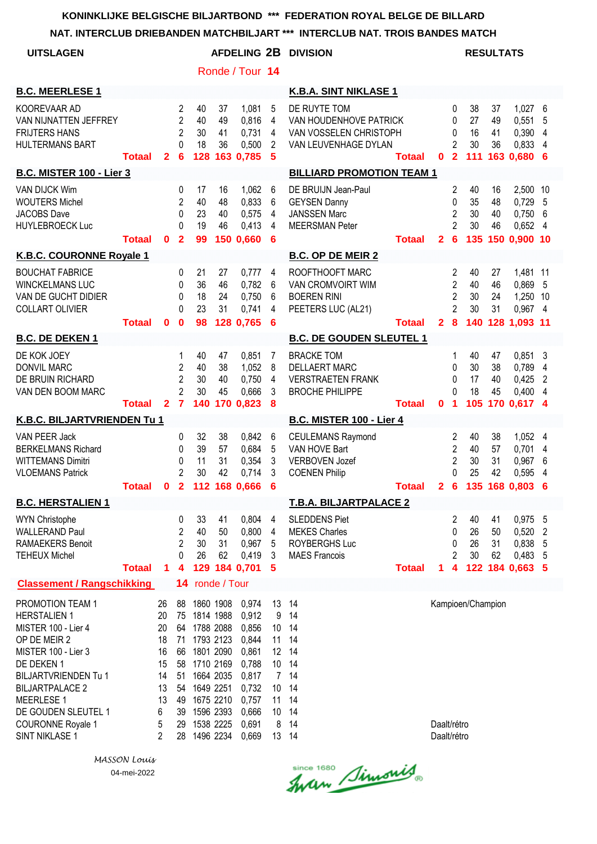**NAT. INTERCLUB DRIEBANDEN MATCHBILJART \*\*\* INTERCLUB NAT. TROIS BANDES MATCH**

| <b>UITSLAGEN</b>                                                                                                                                                                                                                                         |               |                                                                   |                                                                |                                                                                                                                                             |                      |                                                                                                          |                                                 | AFDELING 2B DIVISION                                                                            |               |                            |                                                                             | <b>RESULTATS</b>              |                      |                                                              |                       |
|----------------------------------------------------------------------------------------------------------------------------------------------------------------------------------------------------------------------------------------------------------|---------------|-------------------------------------------------------------------|----------------------------------------------------------------|-------------------------------------------------------------------------------------------------------------------------------------------------------------|----------------------|----------------------------------------------------------------------------------------------------------|-------------------------------------------------|-------------------------------------------------------------------------------------------------|---------------|----------------------------|-----------------------------------------------------------------------------|-------------------------------|----------------------|--------------------------------------------------------------|-----------------------|
|                                                                                                                                                                                                                                                          |               |                                                                   |                                                                |                                                                                                                                                             |                      | Ronde / Tour 14                                                                                          |                                                 |                                                                                                 |               |                            |                                                                             |                               |                      |                                                              |                       |
| <b>B.C. MEERLESE 1</b>                                                                                                                                                                                                                                   |               |                                                                   |                                                                |                                                                                                                                                             |                      |                                                                                                          |                                                 | K.B.A. SINT NIKLASE 1                                                                           |               |                            |                                                                             |                               |                      |                                                              |                       |
| KOOREVAAR AD<br>VAN NIJNATTEN JEFFREY<br><b>FRIJTERS HANS</b><br><b>HULTERMANS BART</b>                                                                                                                                                                  | <b>Totaal</b> | $\mathbf{2}$                                                      | 2<br>$\overline{2}$<br>2<br>0<br>6                             | 40<br>40<br>30<br>18<br>128                                                                                                                                 | 37<br>49<br>41<br>36 | 1,081<br>0,816<br>0,731<br>0,500<br>163 0,785                                                            | 5<br>4<br>4<br>2<br>5                           | DE RUYTE TOM<br>VAN HOUDENHOVE PATRICK<br>VAN VOSSELEN CHRISTOPH<br>VAN LEUVENHAGE DYLAN        | <b>Totaal</b> | $\mathbf 0$                | 0<br>0<br>0<br>$\overline{c}$<br>$\overline{2}$                             | 38<br>27<br>16<br>30<br>$111$ | 37<br>49<br>41<br>36 | 1,027<br>0,551<br>0,390<br>0,833<br>163 0,680                | 6<br>5<br>4<br>4<br>6 |
| <b>B.C. MISTER 100 - Lier 3</b>                                                                                                                                                                                                                          |               |                                                                   |                                                                |                                                                                                                                                             |                      |                                                                                                          |                                                 | <b>BILLIARD PROMOTION TEAM 1</b>                                                                |               |                            |                                                                             |                               |                      |                                                              |                       |
| VAN DIJCK Wim<br><b>WOUTERS Michel</b><br><b>JACOBS</b> Dave<br><b>HUYLEBROECK Luc</b>                                                                                                                                                                   | <b>Totaal</b> | 0                                                                 | 0<br>$\overline{2}$<br>0<br>0<br>$\overline{2}$                | 17<br>40<br>23<br>19<br>99                                                                                                                                  | 16<br>48<br>40<br>46 | 1,062<br>0,833<br>0,575<br>0,413<br>150 0,660                                                            | 6<br>6<br>$\overline{4}$<br>4<br>6              | DE BRUIJN Jean-Paul<br><b>GEYSEN Danny</b><br><b>JANSSEN Marc</b><br><b>MEERSMAN Peter</b>      | <b>Totaal</b> | $\mathbf{2}$               | 2<br>0<br>$\overline{2}$<br>$\overline{2}$<br>$6\phantom{1}6$               | 40<br>35<br>30<br>30          | 16<br>48<br>40<br>46 | 2,500 10<br>0,729<br>0,750<br>0,652<br>135 150 0,900 10      | 5<br>6<br>4           |
| K.B.C. COURONNE Royale 1                                                                                                                                                                                                                                 |               |                                                                   |                                                                |                                                                                                                                                             |                      |                                                                                                          |                                                 | <b>B.C. OP DE MEIR 2</b>                                                                        |               |                            |                                                                             |                               |                      |                                                              |                       |
| <b>BOUCHAT FABRICE</b><br><b>WINCKELMANS LUC</b><br>VAN DE GUCHT DIDIER<br>COLLART OLIVIER                                                                                                                                                               | <b>Totaal</b> | $\mathbf{0}$                                                      | 0<br>0<br>0<br>0<br>$\bf{0}$                                   | 21<br>36<br>18<br>23<br>98                                                                                                                                  | 27<br>46<br>24<br>31 | 0,777<br>0,782<br>0,750<br>0,741<br>128 0,765                                                            | 4<br>6<br>6<br>4<br>6                           | ROOFTHOOFT MARC<br><b>VAN CROMVOIRT WIM</b><br><b>BOEREN RINI</b><br>PEETERS LUC (AL21)         | <b>Totaal</b> | $\mathbf{2}$               | $\overline{2}$<br>2<br>$\overline{2}$<br>$\overline{2}$<br>$\boldsymbol{8}$ | 40<br>40<br>30<br>30          | 27<br>46<br>24<br>31 | 1,481 11<br>0,869<br>1,250 10<br>0,967 4<br>140 128 1,093 11 | 5                     |
| <b>B.C. DE DEKEN 1</b>                                                                                                                                                                                                                                   |               |                                                                   |                                                                |                                                                                                                                                             |                      |                                                                                                          |                                                 | <b>B.C. DE GOUDEN SLEUTEL 1</b>                                                                 |               |                            |                                                                             |                               |                      |                                                              |                       |
| DE KOK JOEY<br><b>DONVIL MARC</b><br>DE BRUIN RICHARD<br>VAN DEN BOOM MARC                                                                                                                                                                               | Totaal        | $\overline{2}$                                                    | 1<br>2<br>$\overline{2}$<br>$\overline{2}$<br>$\overline{7}$   | 40<br>40<br>30<br>30<br>140                                                                                                                                 | 47<br>38<br>40<br>45 | 0,851<br>1,052<br>0,750<br>0,666<br>170 0,823                                                            | 7<br>8<br>4<br>3<br>8                           | <b>BRACKE TOM</b><br><b>DELLAERT MARC</b><br><b>VERSTRAETEN FRANK</b><br><b>BROCHE PHILIPPE</b> | <b>Totaal</b> | 0                          | 1<br>0<br>0<br>0<br>1                                                       | 40<br>30<br>17<br>18<br>105   | 47<br>38<br>40<br>45 | 0,851<br>0,789<br>0,425<br>$0,400$ 4<br>170 0,617 4          | 3<br>4<br>2           |
| K.B.C. BILJARTVRIENDEN Tu 1                                                                                                                                                                                                                              |               |                                                                   |                                                                |                                                                                                                                                             |                      |                                                                                                          |                                                 | <b>B.C. MISTER 100 - Lier 4</b>                                                                 |               |                            |                                                                             |                               |                      |                                                              |                       |
| VAN PEER Jack<br><b>BERKELMANS Richard</b><br><b>WITTEMANS Dimitri</b><br><b>VLOEMANS Patrick</b>                                                                                                                                                        | Totaal 0      |                                                                   | 0<br>0<br>0<br>$\overline{c}$<br>$\mathbf{2}$                  | 32<br>39<br>11<br>30                                                                                                                                        | 38<br>57<br>31<br>42 | 0,842<br>0,684<br>0,354<br>0,714<br>112 168 0,666                                                        | 6<br>5<br>3<br>3<br>6                           | <b>CEULEMANS Raymond</b><br>VAN HOVE Bart<br><b>VERBOVEN Jozef</b><br><b>COENEN Philip</b>      | <b>Totaal</b> | 2 <sub>6</sub>             | 2<br>$\overline{2}$<br>$\overline{2}$<br>0                                  | 40<br>40<br>30<br>25          | 38<br>57<br>31<br>42 | 1,052<br>0,701<br>0,967<br>0,595<br>135 168 0.803            | 4<br>4<br>6<br>4<br>6 |
| <b>B.C. HERSTALIEN 1</b>                                                                                                                                                                                                                                 |               |                                                                   |                                                                |                                                                                                                                                             |                      |                                                                                                          |                                                 | <b>T.B.A. BILJARTPALACE 2</b>                                                                   |               |                            |                                                                             |                               |                      |                                                              |                       |
| <b>WYN Christophe</b><br><b>WALLERAND Paul</b><br><b>RAMAEKERS Benoit</b><br><b>TEHEUX Michel</b>                                                                                                                                                        | <b>Totaal</b> | 1.                                                                | 0<br>$\overline{c}$<br>$\overline{2}$<br>0<br>$\overline{4}$   | 33<br>40<br>30<br>26<br>129                                                                                                                                 | 41<br>50<br>31<br>62 | 0,804<br>0,800<br>0,967<br>0,419<br>184 0,701                                                            | $\overline{4}$<br>$\overline{4}$<br>5<br>3<br>5 | <b>SLEDDENS Piet</b><br><b>MEKES Charles</b><br>ROYBERGHS Luc<br><b>MAES Francois</b>           | <b>Totaal</b> | 1.                         | 2<br>0<br>0<br>$\overline{c}$<br>4                                          | 40<br>26<br>26<br>30          | 41<br>50<br>31<br>62 | 0,975 5<br>$0,520$ 2<br>0,838 5<br>0,483<br>122 184 0,663 5  | -5                    |
| <b>Classement / Rangschikking</b>                                                                                                                                                                                                                        |               |                                                                   | 14                                                             |                                                                                                                                                             | ronde / Tour         |                                                                                                          |                                                 |                                                                                                 |               |                            |                                                                             |                               |                      |                                                              |                       |
| PROMOTION TEAM 1<br><b>HERSTALIEN 1</b><br>MISTER 100 - Lier 4<br>OP DE MEIR 2<br>MISTER 100 - Lier 3<br>DE DEKEN 1<br>BILJARTVRIENDEN Tu 1<br><b>BILJARTPALACE 2</b><br>MEERLESE 1<br>DE GOUDEN SLEUTEL 1<br><b>COURONNE Royale 1</b><br>SINT NIKLASE 1 |               | 26<br>20<br>20<br>18<br>16<br>15<br>14<br>13<br>13<br>6<br>5<br>2 | 88<br>75<br>71<br>66<br>58<br>51<br>54<br>49<br>39<br>29<br>28 | 1860 1908<br>1814 1988<br>64 1788 2088<br>1793 2123<br>1801 2090<br>1710 2169<br>1664 2035<br>1649 2251<br>1675 2210<br>1596 2393<br>1538 2225<br>1496 2234 |                      | 0,974<br>0,912<br>0,856<br>0,844<br>0,861<br>0,788<br>0,817<br>0,732<br>0,757<br>0,666<br>0,691<br>0,669 | 9<br>10<br>10<br>11<br>10<br>8                  | 13 14<br>14<br>14<br>11 14<br>12 14<br>10 14<br>7 14<br>14<br>14<br>- 14<br>14<br>13 14         |               | Daalt/rétro<br>Daalt/rétro |                                                                             | Kampioen/Champion             |                      |                                                              |                       |

Since 1680 Simonis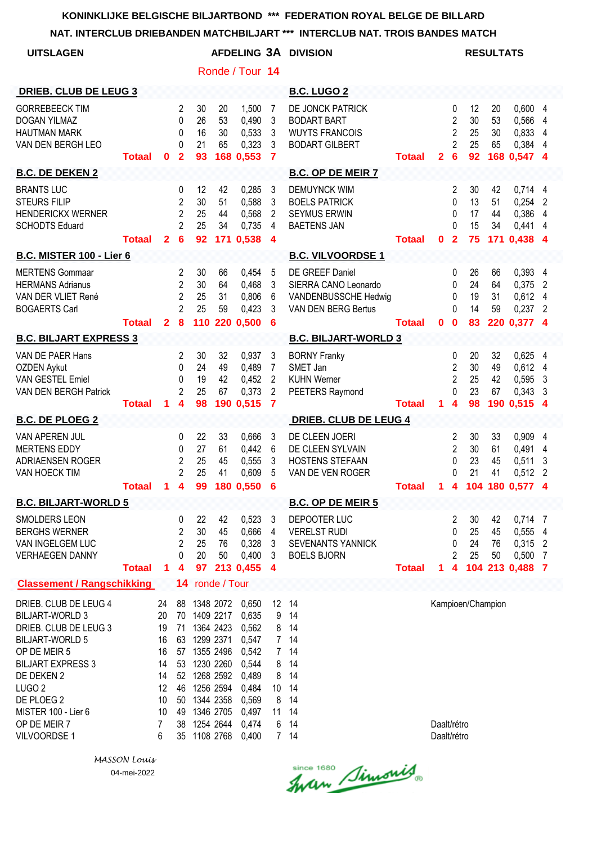**NAT. INTERCLUB DRIEBANDEN MATCHBILJART \*\*\* INTERCLUB NAT. TROIS BANDES MATCH**

| <b>UITSLAGEN</b>                                                                                                                                                                                                                                            |                           |                                                                    |                                                                                       |                                                                                                                                                                            |                                              | Ronde / Tour 14                                                                                          |                                                                                               | AFDELING 3A DIVISION                                                                                                                                                                                                                             |                         |                            |                                                                                       |                                                    | <b>RESULTATS</b>                             |                                                                                                              |                                            |
|-------------------------------------------------------------------------------------------------------------------------------------------------------------------------------------------------------------------------------------------------------------|---------------------------|--------------------------------------------------------------------|---------------------------------------------------------------------------------------|----------------------------------------------------------------------------------------------------------------------------------------------------------------------------|----------------------------------------------|----------------------------------------------------------------------------------------------------------|-----------------------------------------------------------------------------------------------|--------------------------------------------------------------------------------------------------------------------------------------------------------------------------------------------------------------------------------------------------|-------------------------|----------------------------|---------------------------------------------------------------------------------------|----------------------------------------------------|----------------------------------------------|--------------------------------------------------------------------------------------------------------------|--------------------------------------------|
| <b>DRIEB. CLUB DE LEUG 3</b>                                                                                                                                                                                                                                |                           |                                                                    |                                                                                       |                                                                                                                                                                            |                                              |                                                                                                          |                                                                                               | <b>B.C. LUGO 2</b>                                                                                                                                                                                                                               |                         |                            |                                                                                       |                                                    |                                              |                                                                                                              |                                            |
| <b>GORREBEECK TIM</b><br><b>DOGAN YILMAZ</b><br><b>HAUTMAN MARK</b><br>VAN DEN BERGH LEO                                                                                                                                                                    | <b>Totaal</b>             | 0                                                                  | 2<br>0<br>0<br>0<br>$\mathbf{2}$                                                      | 30<br>26<br>16<br>21<br>93                                                                                                                                                 | 20<br>53<br>30<br>65                         | 1,500<br>0,490<br>0,533<br>0,323<br>168 0,553                                                            | 7<br>3<br>3<br>3<br>$\overline{\mathbf{7}}$                                                   | DE JONCK PATRICK<br><b>BODART BART</b><br><b>WUYTS FRANCOIS</b><br><b>BODART GILBERT</b>                                                                                                                                                         | <b>Totaal</b>           | $\mathbf{2}$               | 0<br>$\overline{c}$<br>2<br>$\overline{2}$<br>6                                       | 12<br>30<br>25<br>25<br>92                         | 20<br>53<br>30<br>65                         | 0,600 4<br>0,566<br>0,833<br>0,384<br>168 0,547 4                                                            | 4<br>4<br>4                                |
| <b>B.C. DE DEKEN 2</b>                                                                                                                                                                                                                                      |                           |                                                                    |                                                                                       |                                                                                                                                                                            |                                              |                                                                                                          |                                                                                               | <b>B.C. OP DE MEIR 7</b>                                                                                                                                                                                                                         |                         |                            |                                                                                       |                                                    |                                              |                                                                                                              |                                            |
| <b>BRANTS LUC</b><br><b>STEURS FILIP</b><br><b>HENDERICKX WERNER</b><br><b>SCHODTS Eduard</b>                                                                                                                                                               | <b>Totaal</b>             | $\mathbf{2}$                                                       | 0<br>$\overline{2}$<br>$\overline{2}$<br>$\overline{2}$<br>$6\phantom{1}6$            | 12<br>30<br>25<br>25<br>92                                                                                                                                                 | 42<br>51<br>44<br>34                         | 0,285<br>0,588<br>0,568<br>0,735<br>171 0,538                                                            | 3<br>3<br>2<br>4<br>$\boldsymbol{4}$                                                          | <b>DEMUYNCK WIM</b><br><b>BOELS PATRICK</b><br><b>SEYMUS ERWIN</b><br><b>BAETENS JAN</b>                                                                                                                                                         | <b>Totaal</b>           | $\mathbf 0$                | $\overline{c}$<br>0<br>0<br>0<br>$\overline{2}$                                       | 30<br>13<br>17<br>15<br>75                         | 42<br>51<br>44<br>34                         | $0,714$ 4<br>0,254<br>0,386<br>0,441<br>171 0,438 4                                                          | 2<br>4<br>4                                |
| <b>B.C. MISTER 100 - Lier 6</b>                                                                                                                                                                                                                             |                           |                                                                    |                                                                                       |                                                                                                                                                                            |                                              |                                                                                                          |                                                                                               | <b>B.C. VILVOORDSE 1</b>                                                                                                                                                                                                                         |                         |                            |                                                                                       |                                                    |                                              |                                                                                                              |                                            |
| <b>MERTENS Gommaar</b><br><b>HERMANS Adrianus</b><br>VAN DER VLIET René<br><b>BOGAERTS Carl</b>                                                                                                                                                             |                           |                                                                    | $\overline{2}$<br>$\overline{2}$<br>$\overline{2}$<br>$\overline{2}$                  | 30<br>30<br>25<br>25                                                                                                                                                       | 66<br>64<br>31<br>59                         | 0,454<br>0,468<br>0,806<br>0,423                                                                         | 5<br>3<br>6<br>3                                                                              | DE GREEF Daniel<br>SIERRA CANO Leonardo<br>VANDENBUSSCHE Hedwig<br>VAN DEN BERG Bertus                                                                                                                                                           |                         |                            | 0<br>0<br>0<br>$\Omega$                                                               | 26<br>24<br>19<br>14                               | 66<br>64<br>31<br>59                         | 0,393 4<br>0,375<br>0,612 4<br>0,237                                                                         | 2<br>$\overline{2}$                        |
|                                                                                                                                                                                                                                                             | <b>Totaal</b>             | $\mathbf{2}$                                                       | 8                                                                                     |                                                                                                                                                                            |                                              | 110 220 0,500                                                                                            | 6                                                                                             |                                                                                                                                                                                                                                                  | <b>Totaal</b>           | $\mathbf 0$                | $\mathbf{0}$                                                                          | 83                                                 |                                              | 220 0,377 4                                                                                                  |                                            |
| <b>B.C. BILJART EXPRESS 3</b><br>VAN DE PAER Hans<br>OZDEN Aykut<br><b>VAN GESTEL Emiel</b><br>VAN DEN BERGH Patrick<br><b>B.C. DE PLOEG 2</b><br>VAN APEREN JUL<br><b>MERTENS EDDY</b><br>ADRIAENSEN ROGER<br>VAN HOECK TIM<br><b>B.C. BILJART-WORLD 5</b> | <b>Totaal</b><br>Totaal 1 | 1                                                                  | 2<br>0<br>0<br>$\overline{2}$<br>4<br>0<br>0<br>$\overline{c}$<br>$\overline{2}$<br>4 | 30<br>24<br>19<br>25<br>98<br>22<br>27<br>25<br>25<br>99                                                                                                                   | 32<br>49<br>42<br>67<br>33<br>61<br>45<br>41 | 0,937<br>0,489<br>0,452<br>0,373<br>190 0,515<br>0,666<br>0,442<br>0,555<br>0,609<br>180 0,550           | 3<br>7<br>$\overline{2}$<br>$\overline{2}$<br>$\overline{7}$<br>3<br>6<br>3<br>5<br>6         | <b>B.C. BILJART-WORLD 3</b><br><b>BORNY Franky</b><br>SMET Jan<br><b>KUHN Werner</b><br>PEETERS Raymond<br><b>DRIEB. CLUB DE LEUG 4</b><br>DE CLEEN JOERI<br>DE CLEEN SYLVAIN<br>HOSTENS STEFAAN<br>VAN DE VEN ROGER<br><b>B.C. OP DE MEIR 5</b> | Totaal<br><b>Totaal</b> | 1.<br>$\overline{1}$       | 0<br>2<br>$\overline{c}$<br>0<br>4<br>2<br>$\overline{2}$<br>0<br>0<br>$\overline{4}$ | 20<br>30<br>25<br>23<br>98<br>30<br>30<br>23<br>21 | 32<br>49<br>42<br>67<br>33<br>61<br>45<br>41 | 0,625<br>$0,612$ 4<br>0,595<br>$0,343$ 3<br>190 0,515 4<br>0,909<br>0,491<br>0,511<br>0,512<br>104 180 0,577 | 4<br>$\mathbf{3}$<br>4<br>4<br>3<br>2<br>4 |
| SMOLDERS LEON<br><b>BERGHS WERNER</b><br>VAN INGELGEM LUC<br><b>VERHAEGEN DANNY</b>                                                                                                                                                                         | <b>Totaal</b>             | 1                                                                  | 0<br>$\overline{2}$<br>$\overline{2}$<br>0<br>4                                       | 22<br>30<br>25<br>20<br>97                                                                                                                                                 | 42<br>45<br>76<br>50                         | 0,523<br>0,666<br>0,328<br>0,400<br>213 0,455                                                            | $\mathbf{3}$<br>4<br>3<br>3<br>$\overline{4}$                                                 | DEPOOTER LUC<br><b>VERELST RUDI</b><br>SEVENANTS YANNICK<br><b>BOELS BJORN</b>                                                                                                                                                                   | <b>Totaal</b>           | 1.                         | 2<br>0<br>0<br>$\overline{2}$<br>4                                                    | 30<br>25<br>24<br>25                               | 42<br>45<br>76<br>50                         | $0,714$ 7<br>0,555 4<br>$0,315$ 2<br>0,500<br>104 213 0,488 7                                                | - 7                                        |
| <b>Classement / Rangschikking</b>                                                                                                                                                                                                                           |                           |                                                                    | 14                                                                                    |                                                                                                                                                                            | ronde / Tour                                 |                                                                                                          |                                                                                               |                                                                                                                                                                                                                                                  |                         |                            |                                                                                       |                                                    |                                              |                                                                                                              |                                            |
| DRIEB. CLUB DE LEUG 4<br><b>BILJART-WORLD 3</b><br>DRIEB. CLUB DE LEUG 3<br><b>BILJART-WORLD 5</b><br>OP DE MEIR 5<br><b>BILJART EXPRESS 3</b><br>DE DEKEN 2<br>LUGO <sub>2</sub><br>DE PLOEG 2<br>MISTER 100 - Lier 6<br>OP DE MEIR 7<br>VILVOORDSE 1      |                           | 24<br>20<br>19<br>16<br>16<br>14<br>14<br>12<br>10<br>10<br>7<br>6 | 71<br>63<br>53<br>50<br>49<br>38                                                      | 88 1348 2072<br>70 1409 2217<br>1364 2423<br>1299 2371<br>57 1355 2496<br>1230 2260<br>52 1268 2592<br>46 1256 2594<br>1344 2358<br>1346 2705<br>1254 2644<br>35 1108 2768 |                                              | 0,650<br>0,635<br>0,562<br>0,547<br>0,542<br>0,544<br>0,489<br>0,484<br>0,569<br>0,497<br>0,474<br>0,400 | 12<br>9<br>8<br>7 <sup>7</sup><br>7 <sup>7</sup><br>8<br>8<br>10 <sup>°</sup><br>8<br>11<br>6 | 14<br>14<br>14<br>14<br>14<br>14<br>14<br>14<br>14<br>14<br>14<br>7 14                                                                                                                                                                           |                         | Daalt/rétro<br>Daalt/rétro |                                                                                       | Kampioen/Champion                                  |                                              |                                                                                                              |                                            |

Since 1680 Simonis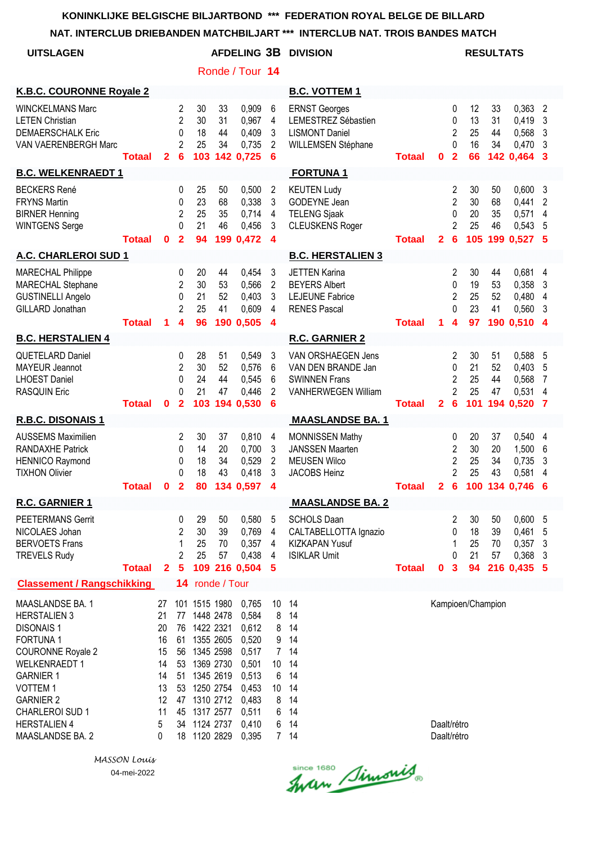**NAT. INTERCLUB DRIEBANDEN MATCHBILJART \*\*\* INTERCLUB NAT. TROIS BANDES MATCH**

| <b>UITSLAGEN</b>                                                                                                                                                                                                                                                  |               |                                                                    |                                                            |                                            |                                                                                                                   |                                                                                                          |                                                                       | <b>AFDELING 3B DIVISION</b>                                                                    | <b>RESULTATS</b> |                            |                                                                 |                             |                      |                                                     |                        |
|-------------------------------------------------------------------------------------------------------------------------------------------------------------------------------------------------------------------------------------------------------------------|---------------|--------------------------------------------------------------------|------------------------------------------------------------|--------------------------------------------|-------------------------------------------------------------------------------------------------------------------|----------------------------------------------------------------------------------------------------------|-----------------------------------------------------------------------|------------------------------------------------------------------------------------------------|------------------|----------------------------|-----------------------------------------------------------------|-----------------------------|----------------------|-----------------------------------------------------|------------------------|
|                                                                                                                                                                                                                                                                   |               |                                                                    |                                                            |                                            |                                                                                                                   | Ronde / Tour 14                                                                                          |                                                                       |                                                                                                |                  |                            |                                                                 |                             |                      |                                                     |                        |
| <b>K.B.C. COURONNE Royale 2</b>                                                                                                                                                                                                                                   |               |                                                                    |                                                            |                                            |                                                                                                                   |                                                                                                          |                                                                       | <b>B.C. VOTTEM 1</b>                                                                           |                  |                            |                                                                 |                             |                      |                                                     |                        |
| <b>WINCKELMANS Marc</b><br><b>LETEN Christian</b><br><b>DEMAERSCHALK Eric</b><br>VAN VAERENBERGH Marc                                                                                                                                                             | <b>Totaal</b> | $\overline{2}$                                                     | $\overline{2}$<br>$\overline{2}$<br>0<br>2<br>6            | 30<br>30<br>18<br>25<br>103                | 33<br>31<br>44<br>34                                                                                              | 0,909<br>0,967<br>0,409<br>0,735<br>142 0,725                                                            | 6<br>4<br>3<br>$\overline{2}$<br>6                                    | <b>ERNST Georges</b><br>LEMESTREZ Sébastien<br><b>LISMONT Daniel</b><br>WILLEMSEN Stéphane     | <b>Totaal</b>    | $\mathbf 0$                | 0<br>0<br>$\overline{c}$<br>$\Omega$<br>$\overline{2}$          | 12<br>13<br>25<br>16<br>66  | 33<br>31<br>44<br>34 | 0,363<br>0,419<br>0,568<br>0,470<br>142 0,464       | 2<br>3<br>3<br>3<br>3  |
| <b>B.C. WELKENRAEDT 1</b>                                                                                                                                                                                                                                         |               |                                                                    |                                                            |                                            |                                                                                                                   |                                                                                                          |                                                                       | <b>FORTUNA1</b>                                                                                |                  |                            |                                                                 |                             |                      |                                                     |                        |
| <b>BECKERS René</b><br><b>FRYNS Martin</b><br><b>BIRNER Henning</b><br><b>WINTGENS Serge</b>                                                                                                                                                                      | <b>Totaal</b> | $\bf{0}$                                                           | 0<br>0<br>$\overline{c}$<br>$\Omega$<br>$\overline{2}$     | 25<br>23<br>25<br>21<br>94                 | 50<br>68<br>35<br>46                                                                                              | 0,500<br>0,338<br>0,714<br>0,456<br>199 0,472                                                            | $\overline{2}$<br>3<br>$\overline{4}$<br>3<br>$\overline{\mathbf{4}}$ | <b>KEUTEN Ludy</b><br>GODEYNE Jean<br><b>TELENG Sjaak</b><br><b>CLEUSKENS Roger</b>            | <b>Totaal</b>    | $\mathbf{2}$               | 2<br>$\overline{2}$<br>0<br>$\overline{2}$<br>6                 | 30<br>30<br>20<br>25        | 50<br>68<br>35<br>46 | 0,600<br>0,441<br>0,571<br>0,543<br>105 199 0.527 5 | 3<br>2<br>4<br>5       |
| A.C. CHARLEROI SUD 1                                                                                                                                                                                                                                              |               |                                                                    |                                                            |                                            |                                                                                                                   |                                                                                                          |                                                                       | <b>B.C. HERSTALIEN 3</b>                                                                       |                  |                            |                                                                 |                             |                      |                                                     |                        |
| <b>MARECHAL Philippe</b><br>MARECHAL Stephane<br><b>GUSTINELLI Angelo</b><br>GILLARD Jonathan                                                                                                                                                                     | <b>Totaal</b> | 1                                                                  | 0<br>2<br>0<br>$\overline{2}$<br>4                         | 20<br>30<br>21<br>25<br>96                 | 44<br>53<br>52<br>41                                                                                              | 0,454<br>0,566<br>0,403<br>0,609<br>190 0,505                                                            | 3<br>2<br>3<br>4<br>$\boldsymbol{4}$                                  | <b>JETTEN Karina</b><br><b>BEYERS Albert</b><br><b>LEJEUNE Fabrice</b><br><b>RENES Pascal</b>  | <b>Totaal</b>    | 1                          | 2<br>0<br>$\overline{2}$<br>$\Omega$<br>$\overline{\mathbf{4}}$ | 30<br>19<br>25<br>23<br>97  | 44<br>53<br>52<br>41 | 0,681<br>0,358<br>0,480<br>0,560<br>190 0,510       | 4<br>3<br>4<br>3<br>-4 |
| <b>B.C. HERSTALIEN 4</b>                                                                                                                                                                                                                                          |               |                                                                    |                                                            |                                            |                                                                                                                   |                                                                                                          |                                                                       | <b>R.C. GARNIER 2</b>                                                                          |                  |                            |                                                                 |                             |                      |                                                     |                        |
| <b>QUETELARD Daniel</b><br><b>MAYEUR Jeannot</b><br><b>LHOEST Daniel</b><br><b>RASQUIN Eric</b>                                                                                                                                                                   | <b>Totaal</b> | $\mathbf{0}$                                                       | 0<br>2<br>$\mathbf{0}$<br>0<br>$\overline{\mathbf{2}}$     | 28<br>30<br>24<br>21<br>103                | 51<br>52<br>44<br>47<br>194                                                                                       | 0,549<br>0,576<br>0,545<br>0,446<br>0,530                                                                | 3<br>6<br>6<br>2<br>$6\phantom{1}6$                                   | VAN ORSHAEGEN Jens<br>VAN DEN BRANDE Jan<br><b>SWINNEN Frans</b><br><b>VANHERWEGEN William</b> | <b>Totaal</b>    | $\mathbf{2}$               | 2<br>0<br>$\overline{2}$<br>$\overline{2}$<br>6                 | 30<br>21<br>25<br>25<br>101 | 51<br>52<br>44<br>47 | 0,588<br>0,403<br>0,568<br>0,531<br>194 0,520       | 5<br>5<br>7<br>4<br>7  |
| R.B.C. DISONAIS 1                                                                                                                                                                                                                                                 |               |                                                                    |                                                            |                                            |                                                                                                                   |                                                                                                          |                                                                       | <b>MAASLANDSE BA. 1</b>                                                                        |                  |                            |                                                                 |                             |                      |                                                     |                        |
| <b>AUSSEMS Maximilien</b><br><b>RANDAXHE Patrick</b><br><b>HENNICO Raymond</b><br><b>TIXHON Olivier</b>                                                                                                                                                           | <b>Totaal</b> | 0                                                                  | 2<br>0<br>0<br>$\Omega$<br>$\overline{2}$                  | 30<br>14<br>18<br>18<br>80                 | 37<br>20<br>34<br>43<br>134                                                                                       | 0,810<br>0,700<br>0,529<br>0,418<br>0,597                                                                | 4<br>3<br>$\overline{c}$<br>3<br>4                                    | MONNISSEN Mathy<br><b>JANSSEN Maarten</b><br><b>MEUSEN Wilco</b><br><b>JACOBS Heinz</b>        | <b>Totaal</b>    | $\mathbf{2}$               | 0<br>$\overline{2}$<br>2<br>$\overline{2}$<br>6                 | 20<br>30<br>25<br>25<br>100 | 37<br>20<br>34<br>43 | 0,540<br>1,500<br>0,735<br>0,581<br>134 0.746       | 4<br>6<br>3<br>4<br>6  |
| R.C. GARNIER 1                                                                                                                                                                                                                                                    |               |                                                                    |                                                            |                                            |                                                                                                                   |                                                                                                          |                                                                       | <b>MAASLANDSE BA. 2</b>                                                                        |                  |                            |                                                                 |                             |                      |                                                     |                        |
| <b>PEETERMANS Gerrit</b><br>NICOLAES Johan<br><b>BERVOETS Frans</b><br><b>TREVELS Rudy</b>                                                                                                                                                                        | <b>Totaal</b> | $\mathbf{2}$                                                       | 0<br>$\mathbf{2}$<br>1<br>$\overline{2}$<br>$5\phantom{1}$ | 29<br>30<br>25<br>25                       | 50<br>39<br>70<br>57                                                                                              | 0,580<br>0,769<br>0,357<br>0,438<br>109 216 0,504                                                        | 5<br>4<br>4<br>4<br>5                                                 | <b>SCHOLS Daan</b><br>CALTABELLOTTA Ignazio<br>KIZKAPAN Yusuf<br><b>ISIKLAR Umit</b>           | <b>Totaal</b>    | $\mathbf 0$                | 2<br>0<br>1<br>0<br>$\mathbf{3}$                                | 30<br>18<br>25<br>21<br>94  | 50<br>39<br>70<br>57 | 0,600<br>0,461<br>0,357<br>0,368<br>216 0,435 5     | -5<br>5<br>-3<br>3     |
| <b>Classement / Rangschikking</b>                                                                                                                                                                                                                                 |               |                                                                    |                                                            | 14 ronde / Tour                            |                                                                                                                   |                                                                                                          |                                                                       |                                                                                                |                  |                            |                                                                 |                             |                      |                                                     |                        |
| MAASLANDSE BA. 1<br><b>HERSTALIEN 3</b><br><b>DISONAIS1</b><br><b>FORTUNA1</b><br><b>COURONNE Royale 2</b><br><b>WELKENRAEDT 1</b><br><b>GARNIER 1</b><br><b>VOTTEM1</b><br><b>GARNIER 2</b><br><b>CHARLEROI SUD 1</b><br><b>HERSTALIEN 4</b><br>MAASLANDSE BA. 2 |               | 27<br>21<br>20<br>16<br>15<br>14<br>14<br>13<br>12<br>11<br>5<br>0 | 77<br>76<br>61<br>56<br>53<br>51<br>53<br>47<br>45<br>18   | 101 1515 1980<br>1448 2478<br>34 1124 2737 | 1422 2321<br>1355 2605<br>1345 2598<br>1369 2730<br>1345 2619<br>1250 2754<br>1310 2712<br>1317 2577<br>1120 2829 | 0,765<br>0,584<br>0,612<br>0,520<br>0,517<br>0,501<br>0,513<br>0,453<br>0,483<br>0,511<br>0,410<br>0,395 | 10<br>8<br>8<br>9<br>$7\overline{ }$<br>10<br>6<br>10<br>8<br>6<br>6  | 14<br>14<br>14<br>14<br>14<br>14<br>14<br>14<br>14<br>14<br>14<br>7 14                         |                  | Daalt/rétro<br>Daalt/rétro |                                                                 | Kampioen/Champion           |                      |                                                     |                        |

Since 1680 Simonis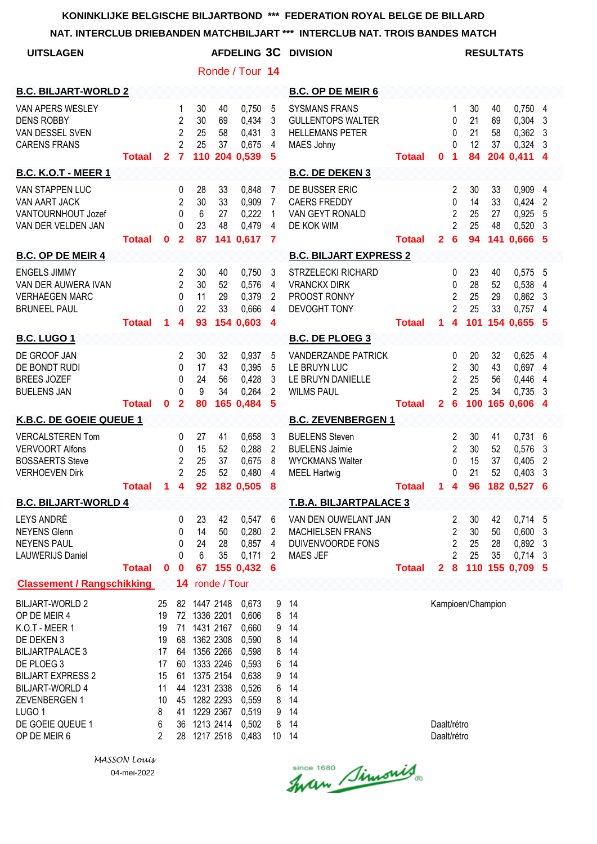| <b>UITSLAGEN</b>                                                                                                                                                                                                                               |               |                                                                   |                                                 |                                                                                                                                                                         |                      | Ronde / Tour 14                                                                                          |                                                                        | <b>AFDELING 3C DIVISION</b>                                                                     |               |                            |                                                                         | <b>RESULTATS</b>            |                             |                                                         |                                   |
|------------------------------------------------------------------------------------------------------------------------------------------------------------------------------------------------------------------------------------------------|---------------|-------------------------------------------------------------------|-------------------------------------------------|-------------------------------------------------------------------------------------------------------------------------------------------------------------------------|----------------------|----------------------------------------------------------------------------------------------------------|------------------------------------------------------------------------|-------------------------------------------------------------------------------------------------|---------------|----------------------------|-------------------------------------------------------------------------|-----------------------------|-----------------------------|---------------------------------------------------------|-----------------------------------|
| <b>B.C. BILJART-WORLD 2</b>                                                                                                                                                                                                                    |               |                                                                   |                                                 |                                                                                                                                                                         |                      |                                                                                                          |                                                                        | <b>B.C. OP DE MEIR 6</b>                                                                        |               |                            |                                                                         |                             |                             |                                                         |                                   |
| VAN APERS WESLEY<br><b>DENS ROBBY</b><br>VAN DESSEL SVEN<br><b>CARENS FRANS</b>                                                                                                                                                                | <b>Totaal</b> | $\mathbf{2}$                                                      | 1<br>2<br>2<br>$\overline{2}$<br>$\overline{7}$ | 30<br>30<br>25<br>25<br>110                                                                                                                                             | 40<br>69<br>58<br>37 | 0,750<br>0,434<br>0,431<br>0,675<br>204 0,539                                                            | 5<br>3<br>3<br>4<br>5                                                  | <b>SYSMANS FRANS</b><br><b>GULLENTOPS WALTER</b><br><b>HELLEMANS PETER</b><br>MAES Johny        | <b>Totaal</b> | 0                          | 1<br>0<br>0<br>$\Omega$<br>1                                            | 30<br>21<br>21<br>12<br>84  | 40<br>69<br>58<br>37        | 0,7504<br>0,304<br>0,362<br>0,324<br>204 0,411          | 3<br>3<br>3<br>4                  |
| <b>B.C. K.O.T - MEER 1</b>                                                                                                                                                                                                                     |               |                                                                   |                                                 |                                                                                                                                                                         |                      |                                                                                                          |                                                                        | <b>B.C. DE DEKEN 3</b>                                                                          |               |                            |                                                                         |                             |                             |                                                         |                                   |
| VAN STAPPEN LUC<br>VAN AART JACK<br>VANTOURNHOUT Jozef<br>VAN DER VELDEN JAN                                                                                                                                                                   | <b>Totaal</b> | $\mathbf{0}$                                                      | 0<br>2<br>0<br>0<br>$\overline{2}$              | 28<br>30<br>6<br>23<br>87                                                                                                                                               | 33<br>33<br>27<br>48 | 0,848<br>0,909<br>0,222<br>0,479<br>141 0,617                                                            | 7<br>7<br>1<br>4<br>$\overline{7}$                                     | DE BUSSER ERIC<br><b>CAERS FREDDY</b><br>VAN GEYT RONALD<br>DE KOK WIM                          | <b>Totaal</b> | $\overline{2}$             | $\overline{c}$<br>$\mathbf{0}$<br>$\overline{2}$<br>$\overline{2}$<br>6 | 30<br>14<br>25<br>25<br>94  | 33<br>33<br>27<br>48<br>141 | 0,909<br>0,424<br>0,925<br>0,520<br>0,666 5             | 4<br>$\overline{2}$<br>5<br>3     |
| <b>B.C. OP DE MEIR 4</b>                                                                                                                                                                                                                       |               |                                                                   |                                                 |                                                                                                                                                                         |                      |                                                                                                          |                                                                        | <b>B.C. BILJART EXPRESS 2</b>                                                                   |               |                            |                                                                         |                             |                             |                                                         |                                   |
| <b>ENGELS JIMMY</b><br>VAN DER AUWERA IVAN<br><b>VERHAEGEN MARC</b><br><b>BRUNEEL PAUL</b>                                                                                                                                                     | <b>Totaal</b> | 1                                                                 | 2<br>$\overline{2}$<br>0<br>0<br>4              | 30<br>30<br>11<br>22<br>93                                                                                                                                              | 40<br>52<br>29<br>33 | 0,750<br>0,576<br>0,379<br>0,666<br>154 0,603                                                            | 3<br>4<br>2<br>4<br>$\overline{4}$                                     | <b>STRZELECKI RICHARD</b><br><b>VRANCKX DIRK</b><br>PROOST RONNY<br><b>DEVOGHT TONY</b>         | <b>Totaal</b> | 1.                         | 0<br>0<br>$\overline{c}$<br>$\overline{2}$<br>4                         | 23<br>28<br>25<br>25<br>101 | 40<br>52<br>29<br>33        | $0,575$ 5<br>0,538<br>0,862<br>$0,757$ 4<br>154 0,655 5 | $\overline{4}$<br>3               |
| <b>B.C. LUGO 1</b>                                                                                                                                                                                                                             |               |                                                                   |                                                 |                                                                                                                                                                         |                      |                                                                                                          |                                                                        | <b>B.C. DE PLOEG 3</b>                                                                          |               |                            |                                                                         |                             |                             |                                                         |                                   |
| DE GROOF JAN<br>DE BONDT RUDI<br><b>BREES JOZEF</b><br><b>BUELENS JAN</b>                                                                                                                                                                      | <b>Totaal</b> | $\mathbf 0$                                                       | 2<br>0<br>0<br>$\Omega$<br>$\overline{2}$       | 30<br>17<br>24<br>9<br>80                                                                                                                                               | 32<br>43<br>56<br>34 | 0,937<br>0,395<br>0,428<br>0,264<br>165 0,484                                                            | 5<br>5<br>3<br>2<br>5                                                  | <b>VANDERZANDE PATRICK</b><br>LE BRUYN LUC<br>LE BRUYN DANIELLE<br><b>WILMS PAUL</b>            | <b>Totaal</b> | $\overline{2}$             | 0<br>2<br>2<br>2<br>$6\phantom{1}6$                                     | 20<br>30<br>25<br>25<br>100 | 32<br>43<br>56<br>34        | $0,625$ 4<br>0,697 4<br>0,446<br>0,735<br>165 0,606 4   | 4<br>3                            |
| K.B.C. DE GOEIE QUEUE 1                                                                                                                                                                                                                        |               |                                                                   |                                                 |                                                                                                                                                                         |                      |                                                                                                          |                                                                        | <b>B.C. ZEVENBERGEN 1</b>                                                                       |               |                            |                                                                         |                             |                             |                                                         |                                   |
| <b>VERCALSTEREN Tom</b><br><b>VERVOORT Alfons</b><br><b>BOSSAERTS Steve</b><br><b>VERHOEVEN Dirk</b>                                                                                                                                           | <b>Totaal</b> | $\blacksquare$                                                    | 0<br>0<br>2<br>$\overline{2}$<br>4              | 27<br>15<br>25<br>25<br>92                                                                                                                                              | 41<br>52<br>37<br>52 | 0,658<br>0,288<br>0,675<br>0,480<br>182 0,505                                                            | 3<br>$\overline{2}$<br>8<br>4<br>8                                     | <b>BUELENS Steven</b><br><b>BUELENS Jaimie</b><br><b>WYCKMANS Walter</b><br><b>MEEL Hartwig</b> | <b>Totaal</b> | $\mathbf{1}$               | $\overline{c}$<br>$\overline{c}$<br>0<br>0<br>$\overline{\mathbf{4}}$   | 30<br>30<br>15<br>21<br>96  | 41<br>52<br>37<br>52        | 0,731<br>0,576<br>0,405<br>0,403<br>182 0,527           | 6<br>3<br>2<br>3<br>6             |
| <b>B.C. BILJART-WORLD 4</b>                                                                                                                                                                                                                    |               |                                                                   |                                                 |                                                                                                                                                                         |                      |                                                                                                          |                                                                        | <b>T.B.A. BILJARTPALACE 3</b>                                                                   |               |                            |                                                                         |                             |                             |                                                         |                                   |
| LEYS ANDRÉ<br><b>NEYENS Glenn</b><br><b>NEYENS PAUL</b><br><b>LAUWERIJS Daniel</b>                                                                                                                                                             | <b>Totaal</b> | $\mathbf 0$                                                       | 0<br>0<br>0<br>0<br>$\mathbf 0$                 | 23<br>14<br>24<br>6<br>67                                                                                                                                               | 42<br>50<br>28<br>35 | 0,547<br>0,280<br>0,857<br>0,171<br>155 0,432                                                            | 6<br>2<br>4<br>2<br>-6                                                 | VAN DEN OUWELANT JAN<br><b>MACHIELSEN FRANS</b><br>DUIVENVOORDE FONS<br>MAES JEF                | <b>Totaal</b> | $\mathbf{2}$               | 2<br>$\overline{c}$<br>$\overline{\mathbf{c}}$<br>$\overline{2}$<br>8   | 30<br>30<br>25<br>25        | 42<br>50<br>28<br>35        | 0,714 5<br>0,600<br>0,892<br>0,714<br>110 155 0,709 5   | 3<br>$\overline{\mathbf{3}}$<br>3 |
| <b>Classement / Rangschikking</b>                                                                                                                                                                                                              |               |                                                                   | 14                                              |                                                                                                                                                                         | ronde / Tour         |                                                                                                          |                                                                        |                                                                                                 |               |                            |                                                                         |                             |                             |                                                         |                                   |
| <b>BILJART-WORLD 2</b><br>OP DE MEIR 4<br>K.O.T - MEER 1<br>DE DEKEN 3<br><b>BILJARTPALACE 3</b><br>DE PLOEG 3<br><b>BILJART EXPRESS 2</b><br><b>BILJART-WORLD 4</b><br>ZEVENBERGEN 1<br>LUGO <sub>1</sub><br>DE GOEIE QUEUE 1<br>OP DE MEIR 6 |               | 25<br>19<br>19<br>19<br>17<br>17<br>15<br>11<br>10<br>8<br>6<br>2 | 68<br>64<br>60<br>61<br>44<br>41<br>36          | 82 1447 2148<br>72 1336 2201<br>71 1431 2167<br>1362 2308<br>1356 2266<br>1333 2246<br>1375 2154<br>1231 2338<br>45 1282 2293<br>1229 2367<br>1213 2414<br>28 1217 2518 |                      | 0,673<br>0,606<br>0,660<br>0,590<br>0,598<br>0,593<br>0,638<br>0,526<br>0,559<br>0,519<br>0,502<br>0,483 | 9<br>8<br>9<br>8<br>8<br>6<br>9<br>6<br>8<br>9<br>8<br>10 <sup>°</sup> | 14<br>14<br>14<br>14<br>14<br>14<br>14<br>14<br>14<br>14<br>14<br>14                            |               | Daalt/rétro<br>Daalt/rétro |                                                                         | Kampioen/Champion           |                             |                                                         |                                   |

*MASSON Louis* 04-mei-2022

Since 1680 Simonis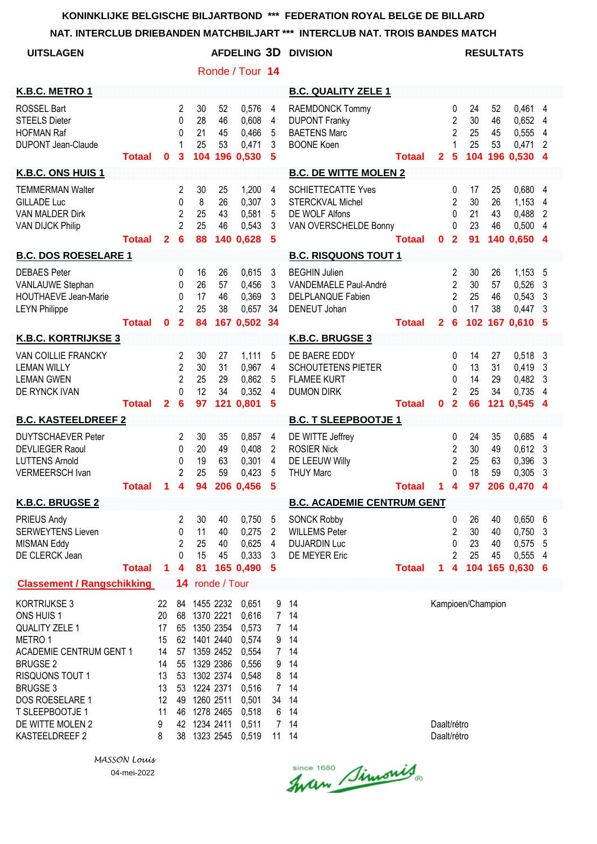## **NAT. INTERCLUB DRIEBANDEN MATCHBILJART \*\*\* INTERCLUB NAT. TROIS BANDES MATCH**

|                                   |                                                                    |                                                              |                            |                      |                                                                                                          |                                                                                                                                                                                                                                         | IN I ERULUD NAT. TRUIS DANDES MATUM                                                                                          |                                                                                                      |                                                                                                                                                |                                                                               |                            |                            |                         |                                                                                                                                                                                                                                                                      |
|-----------------------------------|--------------------------------------------------------------------|--------------------------------------------------------------|----------------------------|----------------------|----------------------------------------------------------------------------------------------------------|-----------------------------------------------------------------------------------------------------------------------------------------------------------------------------------------------------------------------------------------|------------------------------------------------------------------------------------------------------------------------------|------------------------------------------------------------------------------------------------------|------------------------------------------------------------------------------------------------------------------------------------------------|-------------------------------------------------------------------------------|----------------------------|----------------------------|-------------------------|----------------------------------------------------------------------------------------------------------------------------------------------------------------------------------------------------------------------------------------------------------------------|
|                                   |                                                                    |                                                              |                            |                      |                                                                                                          |                                                                                                                                                                                                                                         | <b>DIVISION</b>                                                                                                              |                                                                                                      |                                                                                                                                                |                                                                               |                            |                            |                         |                                                                                                                                                                                                                                                                      |
|                                   |                                                                    |                                                              |                            |                      |                                                                                                          |                                                                                                                                                                                                                                         |                                                                                                                              |                                                                                                      |                                                                                                                                                |                                                                               |                            |                            |                         |                                                                                                                                                                                                                                                                      |
|                                   |                                                                    |                                                              |                            |                      |                                                                                                          |                                                                                                                                                                                                                                         | <b>B.C. QUALITY ZELE 1</b>                                                                                                   |                                                                                                      |                                                                                                                                                |                                                                               |                            |                            |                         |                                                                                                                                                                                                                                                                      |
| <b>Totaal</b>                     | $\mathbf 0$                                                        | 2<br>$\Omega$<br>$\Omega$<br>1<br>3                          | 30<br>28<br>21<br>25       | 52<br>46<br>45<br>53 | 0,576<br>0,608<br>0,466<br>0,471                                                                         | 4<br>4<br>5<br>3<br>5                                                                                                                                                                                                                   | RAEMDONCK Tommy<br><b>DUPONT Franky</b><br><b>BAETENS Marc</b><br><b>BOONE Koen</b>                                          | <b>Totaal</b>                                                                                        | $\overline{2}$                                                                                                                                 | $\mathbf{0}$<br>$\overline{2}$<br>$\overline{2}$<br>1<br>5                    | 24<br>30<br>25<br>25       | 52<br>46<br>45<br>53       |                         | 4<br>4<br>2<br>$\boldsymbol{4}$                                                                                                                                                                                                                                      |
|                                   |                                                                    |                                                              |                            |                      |                                                                                                          |                                                                                                                                                                                                                                         |                                                                                                                              |                                                                                                      |                                                                                                                                                |                                                                               |                            |                            |                         |                                                                                                                                                                                                                                                                      |
| <b>Totaal</b>                     | $\mathbf{2}$                                                       | 2<br>0<br>$\overline{2}$<br>$\overline{2}$<br>$6\phantom{a}$ | 30<br>8<br>25<br>25<br>88  | 25<br>26<br>43<br>46 | 1,200<br>0,307<br>0,581<br>0,543                                                                         | 4<br>3<br>5<br>3<br>5                                                                                                                                                                                                                   | <b>SCHIETTECATTE Yves</b><br><b>STERCKVAL Michel</b><br>DE WOLF Alfons                                                       | <b>Totaal</b>                                                                                        | $\mathbf{0}$                                                                                                                                   | 0<br>$\overline{2}$<br>0<br>$\mathbf{0}$<br>$\overline{2}$                    | 17<br>30<br>21<br>23<br>91 | 25<br>26<br>43<br>46       | 1,153<br>0,488          | 4<br>4<br>$\overline{2}$<br>4<br>$\boldsymbol{4}$                                                                                                                                                                                                                    |
| <b>B.C. DOS ROESELARE 1</b>       |                                                                    |                                                              |                            |                      |                                                                                                          |                                                                                                                                                                                                                                         |                                                                                                                              |                                                                                                      |                                                                                                                                                |                                                                               |                            |                            |                         |                                                                                                                                                                                                                                                                      |
|                                   |                                                                    | 0<br>0<br>0<br>$\overline{2}$                                | 16<br>26<br>17<br>25       | 26<br>57<br>46<br>38 | 0.615<br>0,456<br>0,369<br>0,657                                                                         | 3<br>3<br>3<br>34                                                                                                                                                                                                                       | <b>BEGHIN Julien</b><br>VANDEMAELE Paul-André<br>DELPLANQUE Fabien<br>DENEUT Johan                                           |                                                                                                      |                                                                                                                                                | $\overline{2}$<br>$\overline{2}$<br>$\overline{2}$<br>$\Omega$                | 30<br>30<br>25<br>17       | 26<br>57<br>46<br>38       | 0,526<br>0,543<br>0,447 | 3<br>3<br>3<br>-5                                                                                                                                                                                                                                                    |
| <b>K.B.C. KORTRIJKSE 3</b>        |                                                                    |                                                              |                            |                      |                                                                                                          |                                                                                                                                                                                                                                         |                                                                                                                              |                                                                                                      |                                                                                                                                                |                                                                               |                            |                            |                         |                                                                                                                                                                                                                                                                      |
| <b>Totaal</b>                     | $\overline{2}$                                                     | 2<br>$\overline{2}$<br>$\overline{2}$<br>$\Omega$<br>6       | 30<br>30<br>25<br>12<br>97 | 27<br>31<br>29<br>34 | 1,111<br>0,967<br>0,862<br>0,352<br>0,801                                                                | 5<br>4<br>5<br>4<br>5                                                                                                                                                                                                                   | DE BAERE EDDY<br><b>SCHOUTETENS PIETER</b><br><b>FLAMEE KURT</b><br><b>DUMON DIRK</b>                                        | Totaal                                                                                               | 0                                                                                                                                              | 0<br>0<br>0<br>$\overline{2}$<br>$\overline{2}$                               | 14<br>13<br>14<br>25<br>66 | 27<br>31<br>29<br>34       | 0,419<br>0,545          | 3<br>3<br>3<br>4<br>$\boldsymbol{4}$                                                                                                                                                                                                                                 |
| <b>B.C. KASTEELDREEF 2</b>        |                                                                    |                                                              |                            |                      |                                                                                                          |                                                                                                                                                                                                                                         |                                                                                                                              |                                                                                                      |                                                                                                                                                |                                                                               |                            |                            |                         |                                                                                                                                                                                                                                                                      |
|                                   |                                                                    | 2<br>0<br>0<br>$\overline{2}$                                | 30<br>20<br>19<br>25       | 35<br>49<br>63<br>59 | 0,857<br>0,408<br>0,301<br>0,423                                                                         | 4<br>$\overline{2}$<br>$\overline{4}$<br>5                                                                                                                                                                                              | DE WITTE Jeffrey<br><b>ROSIER Nick</b><br>DE LEEUW Willy<br><b>THUY Marc</b>                                                 |                                                                                                      |                                                                                                                                                | 0<br>$\overline{2}$<br>$\overline{2}$<br>0                                    | 24<br>30<br>25<br>18       | 35<br>49<br>63<br>59       | 0,612<br>0,396<br>0,305 | 4<br>3<br>3<br>3                                                                                                                                                                                                                                                     |
|                                   |                                                                    |                                                              |                            |                      |                                                                                                          |                                                                                                                                                                                                                                         |                                                                                                                              |                                                                                                      |                                                                                                                                                |                                                                               |                            |                            |                         |                                                                                                                                                                                                                                                                      |
| <b>Totaal</b>                     | $\blacktriangleleft$                                               | $\overline{2}$<br>0<br>$\overline{c}$<br>$\mathbf{0}$<br>4   | 30<br>11<br>25<br>15<br>81 | 40<br>40<br>40<br>45 | 0,750<br>0,275<br>0,625<br>0,333                                                                         | $\overline{5}$<br>$\overline{2}$<br>$\overline{4}$<br>3<br>5                                                                                                                                                                            | <b>SONCK Robby</b><br><b>WILLEMS Peter</b><br><b>DUJARDIN Luc</b><br>DE MEYER Eric                                           | <b>Totaal</b>                                                                                        | $\mathbf{1}$                                                                                                                                   | $\pmb{0}$<br>$\overline{2}$<br>0<br>$\overline{2}$<br>$\overline{\mathbf{4}}$ | 26<br>30<br>23<br>25       | 40<br>40<br>40<br>45       | 0,750                   | 3<br>5                                                                                                                                                                                                                                                               |
| <b>Classement / Rangschikking</b> |                                                                    |                                                              |                            |                      |                                                                                                          |                                                                                                                                                                                                                                         |                                                                                                                              |                                                                                                      |                                                                                                                                                |                                                                               |                            |                            |                         |                                                                                                                                                                                                                                                                      |
| <b>ACADEMIE CENTRUM GENT 1</b>    | 22<br>20<br>17<br>15<br>14<br>14<br>13<br>13<br>12<br>11<br>9<br>8 | 38                                                           |                            |                      | 0,651<br>0,616<br>0,573<br>0,574<br>0,554<br>0,556<br>0,548<br>0,516<br>0,501<br>0,518<br>0,511<br>0,519 | 9<br>9<br>9<br>8<br>34<br>6                                                                                                                                                                                                             | 14<br>14<br>14<br>14<br>14<br>14<br>14<br>14                                                                                 |                                                                                                      |                                                                                                                                                |                                                                               |                            |                            |                         |                                                                                                                                                                                                                                                                      |
|                                   | <b>Totaal</b>                                                      | 0                                                            | $\overline{2}$             | 84<br>14             | 104<br>53 1224 2371                                                                                      | 196 0,530<br>140 0,628<br>121<br>165 0,490<br>ronde / Tour<br>84 1455 2232<br>68 1370 2221<br>65 1350 2354<br>62 1401 2440<br>57 1359 2452<br>55 1329 2386<br>53 1302 2374<br>49 1260 2511<br>46 1278 2465<br>42 1234 2411<br>1323 2545 | NAI. INTERULUD DRIEDANDEN MATUMBILJART<br><b>AFDELING 3D</b><br>Ronde / Tour 14<br>167 0,502 34<br>Totaal 1 4 94 206 0,456 5 | K.B.C. BRUGSE 3<br>7 <sup>7</sup><br>7 14<br>7 <sup>7</sup><br>7 <sup>7</sup><br>14<br>7 14<br>11 14 | <b>B.C. DE WITTE MOLEN 2</b><br>VAN OVERSCHELDE Bonny<br><b>B.C. RISQUONS TOUT 1</b><br><b>Totaal</b><br><b>B.C. T SLEEPBOOTJE 1</b><br>Totaal | $\overline{2}$<br><b>B.C. ACADEMIE CENTRUM GENT</b>                           | 6                          | Daalt/rétro<br>Daalt/rétro | 121                     | <b>RESULTATS</b><br>0,461 4<br>0,652<br>0,555<br>0,471<br>104 196 0,530<br>0,680<br>0,500<br>140 0.650<br>$1,153$ 5<br>102 167 0.610<br>0,518<br>0,482<br>0,735<br>0,685<br>1 4 97 206 0,470 4<br>0,6506<br>0,575<br>0,555 4<br>104 165 0,630 6<br>Kampioen/Champion |

since 1680 Simonis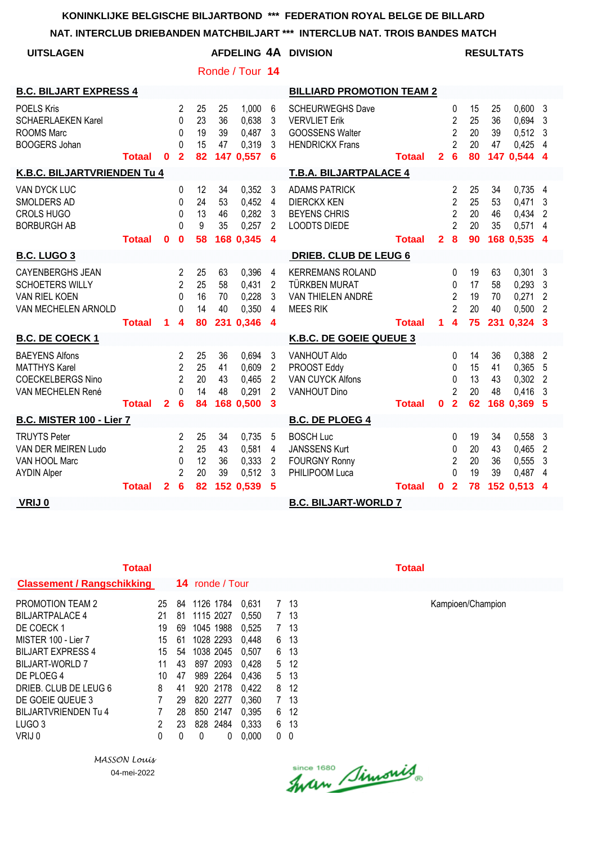## **NAT. INTERCLUB DRIEBANDEN MATCHBILJART \*\*\* INTERCLUB NAT. TROIS BANDES MATCH**

| <b>UITSLAGEN</b>                                                                               |               |                |                                                                     |                            |                      |                                               |                                                              | AFDELING 4A DIVISION                                                                                |               |                |                                                                                  |                            | <b>RESULTATS</b>     |                                                      |                                              |
|------------------------------------------------------------------------------------------------|---------------|----------------|---------------------------------------------------------------------|----------------------------|----------------------|-----------------------------------------------|--------------------------------------------------------------|-----------------------------------------------------------------------------------------------------|---------------|----------------|----------------------------------------------------------------------------------|----------------------------|----------------------|------------------------------------------------------|----------------------------------------------|
|                                                                                                |               |                |                                                                     |                            |                      | Ronde / Tour 14                               |                                                              |                                                                                                     |               |                |                                                                                  |                            |                      |                                                      |                                              |
| <b>B.C. BILJART EXPRESS 4</b>                                                                  |               |                |                                                                     |                            |                      |                                               |                                                              | <b>BILLIARD PROMOTION TEAM 2</b>                                                                    |               |                |                                                                                  |                            |                      |                                                      |                                              |
| <b>POELS Kris</b><br><b>SCHAERLAEKEN Karel</b><br><b>ROOMS Marc</b><br><b>BOOGERS Johan</b>    | <b>Totaal</b> | $\bf{0}$       | 2<br>$\Omega$<br>$\Omega$<br>$\Omega$<br>$\overline{2}$             | 25<br>23<br>19<br>15<br>82 | 25<br>36<br>39<br>47 | 1,000<br>0,638<br>0,487<br>0,319<br>147 0,557 | 6<br>3<br>3<br>3<br>6                                        | <b>SCHEURWEGHS Dave</b><br><b>VERVLIET Erik</b><br><b>GOOSSENS Walter</b><br><b>HENDRICKX Frans</b> | <b>Totaal</b> | $\mathbf{2}$   | 0<br>$\overline{2}$<br>$\overline{2}$<br>$\overline{2}$<br>6                     | 15<br>25<br>20<br>20<br>80 | 25<br>36<br>39<br>47 | 0,6003<br>0.694<br>$0,512$ 3<br>0,425<br>147 0,544 4 | 3<br>- 4                                     |
| <b>K.B.C. BILJARTVRIENDEN Tu 4</b>                                                             |               |                |                                                                     |                            |                      |                                               |                                                              | <b>T.B.A. BILJARTPALACE 4</b>                                                                       |               |                |                                                                                  |                            |                      |                                                      |                                              |
| VAN DYCK LUC<br>SMOLDERS AD<br><b>CROLS HUGO</b><br><b>BORBURGH AB</b>                         |               |                | 0<br>$\Omega$<br>$\Omega$<br>$\Omega$                               | 12<br>24<br>13<br>9        | 34<br>53<br>46<br>35 | 0,352<br>0,452<br>0,282<br>0,257              | 3<br>4<br>3<br>2                                             | <b>ADAMS PATRICK</b><br><b>DIERCKX KEN</b><br><b>BEYENS CHRIS</b><br><b>LOODTS DIEDE</b>            |               |                | 2<br>$\overline{2}$<br>$\overline{2}$<br>$\overline{2}$                          | 25<br>25<br>20<br>20       | 34<br>53<br>46<br>35 | 0,735<br>0,471<br>0,434<br>0,571 4                   | $\overline{4}$<br>3<br>$\overline{2}$        |
|                                                                                                | <b>Totaal</b> | 0              | $\bf{0}$                                                            | 58                         |                      | 168 0,345                                     | $\boldsymbol{4}$                                             |                                                                                                     | <b>Totaal</b> | $\overline{2}$ | $\boldsymbol{8}$                                                                 | 90                         |                      | 168 0.535 4                                          |                                              |
| <b>B.C. LUGO 3</b>                                                                             |               |                |                                                                     |                            |                      |                                               |                                                              | <b>DRIEB. CLUB DE LEUG 6</b>                                                                        |               |                |                                                                                  |                            |                      |                                                      |                                              |
| <b>CAYENBERGHS JEAN</b><br><b>SCHOETERS WILLY</b><br>VAN RIEL KOEN<br>VAN MECHELEN ARNOLD      | <b>Totaal</b> | 1              | 2<br>$\overline{2}$<br>0<br>$\Omega$<br>4                           | 25<br>25<br>16<br>14<br>80 | 63<br>58<br>70<br>40 | 0,396<br>0,431<br>0,228<br>0,350<br>231 0,346 | 4<br>$\overline{2}$<br>3<br>4<br>$\boldsymbol{4}$            | <b>KERREMANS ROLAND</b><br><b>TÜRKBEN MURAT</b><br>VAN THIELEN ANDRÉ<br><b>MEES RIK</b>             | <b>Totaal</b> | 1              | $\mathbf{0}$<br>0<br>$\overline{2}$<br>$\mathfrak{p}$<br>$\overline{\mathbf{4}}$ | 19<br>17<br>19<br>20<br>75 | 63<br>58<br>70<br>40 | 0,301<br>0,293<br>0,271<br>0,500<br>231 0.324 3      | - 3<br>3<br>$\overline{2}$<br>$\overline{2}$ |
| <b>B.C. DE COECK1</b>                                                                          |               |                |                                                                     |                            |                      |                                               |                                                              | K.B.C. DE GOEIE QUEUE 3                                                                             |               |                |                                                                                  |                            |                      |                                                      |                                              |
| <b>BAEYENS Alfons</b><br><b>MATTHYS Karel</b><br><b>COECKELBERGS Nino</b><br>VAN MECHELEN René | <b>Totaal</b> | $\overline{2}$ | $\overline{2}$<br>$\overline{2}$<br>$\overline{2}$<br>$\Omega$<br>6 | 25<br>25<br>20<br>14<br>84 | 36<br>41<br>43<br>48 | 0.694<br>0,609<br>0,465<br>0,291<br>168 0,500 | 3<br>$\overline{2}$<br>$\overline{2}$<br>$\overline{2}$<br>3 | VANHOUT Aldo<br>PROOST Eddy<br><b>VAN CUYCK Alfons</b><br><b>VANHOUT Dino</b>                       | <b>Totaal</b> | $\mathbf{0}$   | 0<br>0<br>0<br>$\overline{2}$<br>$\overline{2}$                                  | 14<br>15<br>13<br>20<br>62 | 36<br>41<br>43<br>48 | 0,388<br>0,365<br>$0,302$ 2<br>0,416<br>168 0,369 5  | $\overline{2}$<br>5<br>3                     |
| <b>B.C. MISTER 100 - Lier 7</b>                                                                |               |                |                                                                     |                            |                      |                                               |                                                              | <b>B.C. DE PLOEG 4</b>                                                                              |               |                |                                                                                  |                            |                      |                                                      |                                              |
| <b>TRUYTS Peter</b><br>VAN DER MEIREN Ludo<br>VAN HOOL Marc<br><b>AYDIN Alper</b>              |               |                | 2<br>$\overline{2}$<br>0<br>$\overline{2}$                          | 25<br>25<br>12<br>20<br>82 | 34<br>43<br>36<br>39 | 0,735<br>0,581<br>0,333<br>0,512              | 5<br>4<br>$\overline{2}$<br>3                                | <b>BOSCH Luc</b><br><b>JANSSENS Kurt</b><br><b>FOURGNY Ronny</b><br>PHILIPOOM Luca                  |               |                | 0<br>0<br>$\overline{2}$<br>$\Omega$<br>$\overline{\mathbf{2}}$                  | 19<br>20<br>20<br>19<br>78 | 34<br>43<br>36<br>39 | 0,558<br>0,465<br>0,555<br>0,487<br>152 0.513        | -3<br>$\overline{2}$<br>3<br>-4              |
| VRIJ 0                                                                                         | <b>Totaal</b> | $\mathbf{2}$   | 6                                                                   |                            |                      | 152 0,539                                     | 5                                                            | <b>B.C. BILJART-WORLD 7</b>                                                                         | <b>Totaal</b> | $\mathbf{0}$   |                                                                                  |                            |                      |                                                      | 4                                            |

| <b>Totaal</b>                     |              |    |                        |            |    |      | Totaal |
|-----------------------------------|--------------|----|------------------------|------------|----|------|--------|
| <b>Classement / Rangschikking</b> |              |    | <b>14</b> ronde / Tour |            |    |      |        |
| <b>PROMOTION TEAM 2</b>           | 25           | 84 | 1126 1784              | 0.631      | 7  | -13  |        |
| <b>BILJARTPALACE 4</b>            | 21           | 81 | 1115 2027              | 0.550      | 7  | -13  |        |
| DE COECK 1                        | 19           | 69 | 1045 1988              | 0.525      | 7  | -13  |        |
| MISTER 100 - Lier 7               | 15           | 61 | 1028 2293              | 0.448      | 6. | -13  |        |
| <b>BILJART EXPRESS 4</b>          | 15           | 54 | 1038 2045              | 0.507      | 6  | -13  |        |
| BILJART-WORLD 7                   | 11           | 43 | 897 2093               | 0.428      |    | 5 12 |        |
| DE PLOEG 4                        | 10           | 47 | 989 2264               | 0.436      |    | 5 13 |        |
| DRIEB. CLUB DE LEUG 6             | 8            | 41 | 920 2178               | 0.422      | 8  | -12  |        |
| DE GOEIE QUEUE 3                  | 7            | 29 | 820 2277               | 0.360      | 7  | -13  |        |
| <b>BILJARTVRIENDEN Tu 4</b>       | 7            | 28 | 850 2147               | 0.395      | 6  | -12  |        |
| LUGO <sub>3</sub>                 | $\mathbf{2}$ | 23 | 828 2484               | 0.333      | 6  | -13  |        |
| VRIJ 0                            | 0            | 0  | 0                      | 0.000<br>0 | 0  | 0    |        |

*MASSON Louis* 04-mei-2022

PROMOTION TEAM 2 25 84 1126 1784 0,631 7 13 Kampioen/Champion

Since 1680 Simonis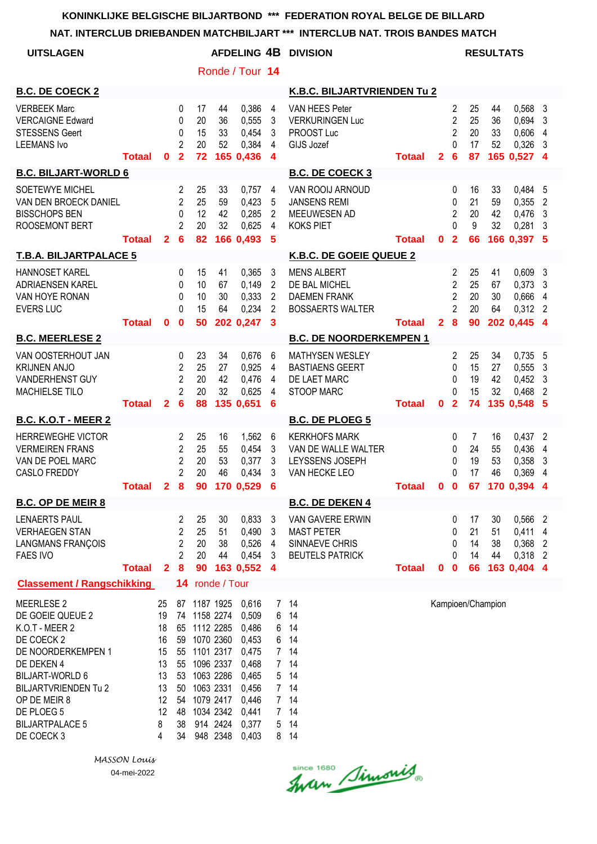|                                                                                                                                                                                                                                          |               |                                                                    |                                                              |                                                           |                                                                                                    |                                                                                                          |                                      | NAT. INTERCLUB DRIEBANDEN MATCHBILJART *** INTERCLUB NAT. TROIS BANDES MATCH          |               |                |                                                                            |                            |                      |                                                          |                                  |
|------------------------------------------------------------------------------------------------------------------------------------------------------------------------------------------------------------------------------------------|---------------|--------------------------------------------------------------------|--------------------------------------------------------------|-----------------------------------------------------------|----------------------------------------------------------------------------------------------------|----------------------------------------------------------------------------------------------------------|--------------------------------------|---------------------------------------------------------------------------------------|---------------|----------------|----------------------------------------------------------------------------|----------------------------|----------------------|----------------------------------------------------------|----------------------------------|
| <b>UITSLAGEN</b>                                                                                                                                                                                                                         |               |                                                                    |                                                              |                                                           |                                                                                                    |                                                                                                          |                                      | <b>AFDELING 4B DIVISION</b>                                                           |               |                |                                                                            |                            | <b>RESULTATS</b>     |                                                          |                                  |
|                                                                                                                                                                                                                                          |               |                                                                    |                                                              |                                                           |                                                                                                    | Ronde / Tour 14                                                                                          |                                      |                                                                                       |               |                |                                                                            |                            |                      |                                                          |                                  |
| <b>B.C. DE COECK 2</b>                                                                                                                                                                                                                   |               |                                                                    |                                                              |                                                           |                                                                                                    |                                                                                                          |                                      | K.B.C. BILJARTVRIENDEN Tu 2                                                           |               |                |                                                                            |                            |                      |                                                          |                                  |
| <b>VERBEEK Marc</b><br><b>VERCAIGNE Edward</b><br><b>STESSENS Geert</b><br><b>LEEMANS Ivo</b>                                                                                                                                            | <b>Totaal</b> | 0                                                                  | 0<br>0<br>0<br>2<br>$\overline{2}$                           | 17<br>20<br>15<br>20<br>72                                | 44<br>36<br>33<br>52                                                                               | 0,386<br>0,555<br>0,454<br>0,384<br>165 0.436                                                            | 4<br>3<br>3<br>4<br>$\boldsymbol{4}$ | VAN HEES Peter<br><b>VERKURINGEN Luc</b><br>PROOST Luc<br>GIJS Jozef                  | <b>Totaal</b> | $\overline{2}$ | $\overline{2}$<br>$\overline{2}$<br>$\overline{2}$<br>$\Omega$<br>6        | 25<br>25<br>20<br>17<br>87 | 44<br>36<br>33<br>52 | 0,568 3<br>0,694<br>0,606<br>0,326<br>165 0.527 4        | 3<br>4<br>3                      |
| <b>B.C. BILJART-WORLD 6</b>                                                                                                                                                                                                              |               |                                                                    |                                                              |                                                           |                                                                                                    |                                                                                                          |                                      | <b>B.C. DE COECK 3</b>                                                                |               |                |                                                                            |                            |                      |                                                          |                                  |
| SOETEWYE MICHEL<br>VAN DEN BROECK DANIEL<br><b>BISSCHOPS BEN</b><br>ROOSEMONT BERT                                                                                                                                                       | <b>Totaal</b> | $\mathbf{2}$                                                       | 2<br>$\overline{2}$<br>$\mathbf{0}$<br>$\overline{2}$<br>6   | 25<br>25<br>12<br>20<br>82                                | 33<br>59<br>42<br>32                                                                               | 0,757<br>0,423<br>0,285<br>0,625<br>166 0,493                                                            | 4<br>5<br>2<br>4<br>5                | VAN ROOIJ ARNOUD<br><b>JANSENS REMI</b><br>MEEUWESEN AD<br><b>KOKS PIET</b>           | <b>Totaal</b> | $\mathbf{0}$   | $\mathbf{0}$<br>0<br>$\overline{2}$<br>$\Omega$<br>$\overline{\mathbf{2}}$ | 16<br>21<br>20<br>9<br>66  | 33<br>59<br>42<br>32 | 0,484 5<br>0,355<br>0,476<br>0,281<br>166 0.397 5        | $\overline{2}$<br>3<br>-3        |
| <b>T.B.A. BILJARTPALACE 5</b>                                                                                                                                                                                                            |               |                                                                    |                                                              |                                                           |                                                                                                    |                                                                                                          |                                      | K.B.C. DE GOEIE QUEUE 2                                                               |               |                |                                                                            |                            |                      |                                                          |                                  |
| <b>HANNOSET KAREL</b><br>ADRIAENSEN KAREL<br>VAN HOYE RONAN<br><b>EVERS LUC</b>                                                                                                                                                          | <b>Totaal</b> | 0                                                                  | 0<br>$\mathbf{0}$<br>$\Omega$<br>$\Omega$<br>$\bf{0}$        | 15<br>10<br>10<br>15<br>50                                | 41<br>67<br>30<br>64                                                                               | 0,365<br>0,149<br>0,333<br>0,234<br>202 0,247                                                            | 3<br>2<br>2<br>2<br>$\mathbf{3}$     | <b>MENS ALBERT</b><br>DE BAL MICHEL<br><b>DAEMEN FRANK</b><br><b>BOSSAERTS WALTER</b> | <b>Totaal</b> | 28             | 2<br>$\overline{2}$<br>2<br>$\overline{2}$                                 | 25<br>25<br>20<br>20<br>90 | 41<br>67<br>30<br>64 | $0,609$ 3<br>0,373<br>0,666<br>$0,312$ 2<br>202 0,445 4  | 3<br>4                           |
| <b>B.C. MEERLESE 2</b>                                                                                                                                                                                                                   |               |                                                                    |                                                              |                                                           |                                                                                                    |                                                                                                          |                                      | <b>B.C. DE NOORDERKEMPEN 1</b>                                                        |               |                |                                                                            |                            |                      |                                                          |                                  |
| VAN OOSTERHOUT JAN<br><b>KRIJNEN ANJO</b><br>VANDERHENST GUY<br>MACHIELSE TILO                                                                                                                                                           | <b>Totaal</b> | $\mathbf{2}$                                                       | 0<br>$\overline{c}$<br>$\overline{2}$<br>$\overline{2}$<br>6 | 23<br>25<br>20<br>20<br>88                                | 34<br>27<br>42<br>32                                                                               | 0,676<br>0,925<br>0,476<br>0,625<br>135 0,651                                                            | 6<br>4<br>4<br>4<br>6                | <b>MATHYSEN WESLEY</b><br><b>BASTIAENS GEERT</b><br>DE LAET MARC<br><b>STOOP MARC</b> | <b>Totaal</b> | $\mathbf 0$    | $\overline{c}$<br>0<br>0<br>$\Omega$<br>$\overline{2}$                     | 25<br>15<br>19<br>15<br>74 | 34<br>27<br>42<br>32 | $0,735$ 5<br>0,555<br>0,452<br>0,468<br>135 0,548 5      | 3<br>3<br>2                      |
| <b>B.C. K.O.T - MEER 2</b>                                                                                                                                                                                                               |               |                                                                    |                                                              |                                                           |                                                                                                    |                                                                                                          |                                      | <b>B.C. DE PLOEG 5</b>                                                                |               |                |                                                                            |                            |                      |                                                          |                                  |
| <b>HERREWEGHE VICTOR</b><br><b>VERMEIREN FRANS</b><br>VAN DE POEL MARC<br>CASLO FREDDY                                                                                                                                                   | <b>Totaal</b> |                                                                    | 2<br>2<br>$\overline{2}$<br>$\overline{2}$<br>28             | 25<br>25<br>20<br>20                                      | 16<br>55<br>53<br>46                                                                               | 1,562<br>0,454<br>0,377<br>$0,434$ 3<br>90 170 0,529 6                                                   | -6<br>3<br>3                         | <b>KERKHOFS MARK</b><br>VAN DE WALLE WALTER<br>LEYSSENS JOSEPH<br>VAN HECKE LEO       | <b>Totaal</b> | $0\quad 0$     | 0<br>$\mathbf{0}$<br>$\Omega$<br>$\Omega$                                  | 7<br>24<br>19<br>17        | 16<br>55<br>53<br>46 | $0,437$ 2<br>0,436 4<br>0,358<br>0,369<br>67 170 0,394 4 | $\overline{3}$<br>$\overline{4}$ |
| <b>B.C. OP DE MEIR 8</b>                                                                                                                                                                                                                 |               |                                                                    |                                                              |                                                           |                                                                                                    |                                                                                                          |                                      | <b>B.C. DE DEKEN 4</b>                                                                |               |                |                                                                            |                            |                      |                                                          |                                  |
| <b>LENAERTS PAUL</b><br><b>VERHAEGEN STAN</b><br><b>LANGMANS FRANÇOIS</b><br><b>FAES IVO</b>                                                                                                                                             | <b>Totaal</b> | $\mathbf{2}$                                                       | 2<br>2<br>2<br>2<br>8                                        | 25<br>25<br>20<br>20<br>90                                | 30<br>51<br>38<br>44                                                                               | 0,833<br>0,490<br>0,526<br>0,454<br>163 0,552 4                                                          | $\mathbf{3}$<br>3<br>4<br>-3         | VAN GAVERE ERWIN<br><b>MAST PETER</b><br>SINNAEVE CHRIS<br><b>BEUTELS PATRICK</b>     | <b>Totaal</b> | 0 <sub>0</sub> | 0<br>0<br>0<br>$\Omega$                                                    | 17<br>21<br>14<br>14<br>66 | 30<br>51<br>38<br>44 | 0,566 2<br>0,411 4<br>0,368 2<br>0,318 2<br>163 0,404 4  |                                  |
| <b>Classement / Rangschikking</b>                                                                                                                                                                                                        |               |                                                                    |                                                              | 14 ronde / Tour                                           |                                                                                                    |                                                                                                          |                                      |                                                                                       |               |                |                                                                            |                            |                      |                                                          |                                  |
| <b>MEERLESE 2</b><br>DE GOEIE QUEUE 2<br>K.O.T - MEER 2<br>DE COECK 2<br>DE NOORDERKEMPEN 1<br>DE DEKEN 4<br><b>BILJART-WORLD 6</b><br><b>BILJARTVRIENDEN Tu 2</b><br>OP DE MEIR 8<br>DE PLOEG 5<br><b>BILJARTPALACE 5</b><br>DE COECK 3 |               | 25<br>19<br>18<br>16<br>15<br>13<br>13<br>13<br>12<br>12<br>8<br>4 | 59<br>55<br>55<br>53<br>50<br>54<br>48<br>38<br>34           | 87 1187 1925<br>74 1158 2274<br>65 1112 2285<br>1101 2317 | 1070 2360<br>1096 2337<br>1063 2286<br>1063 2331<br>1079 2417<br>1034 2342<br>914 2424<br>948 2348 | 0,616<br>0,509<br>0,486<br>0,453<br>0,475<br>0,468<br>0,465<br>0,456<br>0,446<br>0,441<br>0,377<br>0,403 | 6<br>6<br>6<br>5<br>5                | 7 14<br>14<br>14<br>14<br>7 14<br>7 14<br>14<br>7 14<br>7 14<br>7 14<br>14<br>8 14    |               |                |                                                                            |                            | Kampioen/Champion    |                                                          |                                  |

Since 1680 Simonis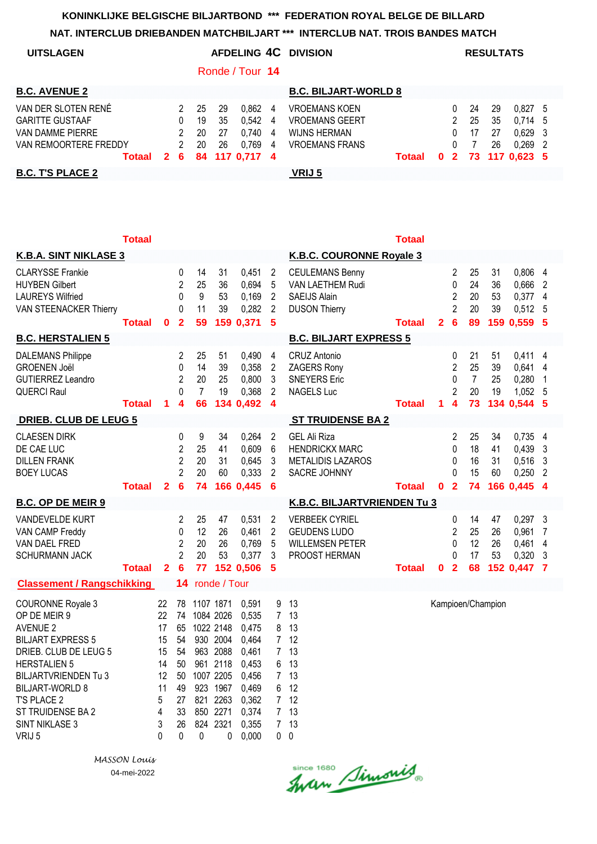| <b>UITSLAGEN</b>        |              |   |    |    |                 |   | AFDELING 4C DIVISION        |              |              |    | <b>RESULTATS</b> |                |  |
|-------------------------|--------------|---|----|----|-----------------|---|-----------------------------|--------------|--------------|----|------------------|----------------|--|
|                         |              |   |    |    | Ronde / Tour 14 |   |                             |              |              |    |                  |                |  |
| <b>B.C. AVENUE 2</b>    |              |   |    |    |                 |   | <b>B.C. BILJART-WORLD 8</b> |              |              |    |                  |                |  |
| VAN DER SLOTEN RENÉ     |              |   | 25 | 29 | 0.862           | 4 | <b>VROEMANS KOEN</b>        |              | 0            | 24 | 29               | $0.827$ 5      |  |
| <b>GARITTE GUSTAAF</b>  |              | 0 | 19 | 35 | 0.542           | 4 | <b>VROEMANS GEERT</b>       |              |              | 25 | 35               | $0,714$ 5      |  |
| VAN DAMME PIERRE        |              | 2 | 20 | 27 | 0.740           | 4 | <b>WIJNS HERMAN</b>         |              | 0            | 17 | 27               | $0,629$ 3      |  |
| VAN REMOORTERE FREDDY   |              |   | 20 | 26 | 0.769           | 4 | <b>VROEMANS FRANS</b>       |              | $\Omega$     |    | 26               | $0.269$ 2      |  |
| Totaal                  | $\mathbf{2}$ | 6 |    |    | 84 117 0,717 4  |   | Totaal                      | $\mathbf{0}$ | $\mathbf{2}$ |    |                  | 73 117 0.623 5 |  |
| <b>B.C. T'S PLACE 2</b> |              |   |    |    |                 |   | VRIJ 5                      |              |              |    |                  |                |  |

|                                                                                                                                                                                                                                                               | <b>Totaal</b> |                                                             |                                                                |                                        |                                                                                                                              |                                                                                                 |                                                                                    |                                                                                           | Totaal        |                |                                                                       |                            |                      |                                                           |                                           |
|---------------------------------------------------------------------------------------------------------------------------------------------------------------------------------------------------------------------------------------------------------------|---------------|-------------------------------------------------------------|----------------------------------------------------------------|----------------------------------------|------------------------------------------------------------------------------------------------------------------------------|-------------------------------------------------------------------------------------------------|------------------------------------------------------------------------------------|-------------------------------------------------------------------------------------------|---------------|----------------|-----------------------------------------------------------------------|----------------------------|----------------------|-----------------------------------------------------------|-------------------------------------------|
| <b>K.B.A. SINT NIKLASE 3</b>                                                                                                                                                                                                                                  |               |                                                             |                                                                |                                        |                                                                                                                              |                                                                                                 |                                                                                    | <b>K.B.C. COURONNE Royale 3</b>                                                           |               |                |                                                                       |                            |                      |                                                           |                                           |
| <b>CLARYSSE Frankie</b><br><b>HUYBEN Gilbert</b><br><b>LAUREYS Wilfried</b><br>VAN STEENACKER Thierry                                                                                                                                                         | <b>Totaal</b> | $\mathbf 0$                                                 | 0<br>$\overline{2}$<br>$\mathbf 0$<br>0<br>$\mathbf{2}$        | 14<br>25<br>9<br>11<br>59              | 31<br>36<br>53<br>39                                                                                                         | 0,451<br>0,694<br>0,169<br>0,282<br>159 0,371                                                   | $\overline{c}$<br>5<br>$\overline{2}$<br>$\overline{2}$<br>$5\phantom{1}$          | <b>CEULEMANS Benny</b><br>VAN LAETHEM Rudi<br><b>SAEIJS Alain</b><br><b>DUSON Thierry</b> | <b>Totaal</b> | $\overline{2}$ | 2<br>0<br>$\overline{2}$<br>$\overline{2}$<br>6                       | 25<br>24<br>20<br>20<br>89 | 31<br>36<br>53<br>39 | 0,806 4<br>0,666<br>$0,377$ 4<br>$0,512$ 5<br>159 0,559 5 | $\overline{2}$                            |
| <b>B.C. HERSTALIEN 5</b>                                                                                                                                                                                                                                      |               |                                                             |                                                                |                                        |                                                                                                                              |                                                                                                 |                                                                                    | <b>B.C. BILJART EXPRESS 5</b>                                                             |               |                |                                                                       |                            |                      |                                                           |                                           |
| <b>DALEMANS Philippe</b><br><b>GROENEN Joël</b><br><b>GUTIERREZ Leandro</b><br>QUERCI Raul                                                                                                                                                                    | <b>Totaal</b> | 1                                                           | 2<br>$\mathbf 0$<br>$\overline{2}$<br>$\mathbf 0$<br>4         | 25<br>14<br>20<br>$\overline{7}$<br>66 | 51<br>39<br>25<br>19                                                                                                         | 0,490<br>0,358<br>0,800<br>0,368<br>134 0,492                                                   | $\overline{4}$<br>$\overline{2}$<br>3<br>$\overline{2}$<br>$\overline{\mathbf{4}}$ | <b>CRUZ Antonio</b><br>ZAGERS Rony<br><b>SNEYERS Eric</b><br><b>NAGELS Luc</b>            | <b>Totaal</b> | 1              | 0<br>$\overline{2}$<br>0<br>$\overline{2}$<br>$\overline{\mathbf{4}}$ | 21<br>25<br>7<br>20<br>73  | 51<br>39<br>25<br>19 | 0,411<br>0,641 4<br>0,280<br>1,052 5<br>134 0,544 5       | 4<br>-1                                   |
| <b>DRIEB. CLUB DE LEUG 5</b>                                                                                                                                                                                                                                  |               |                                                             |                                                                |                                        |                                                                                                                              |                                                                                                 |                                                                                    | <b>ST TRUIDENSE BA 2</b>                                                                  |               |                |                                                                       |                            |                      |                                                           |                                           |
| <b>CLAESEN DIRK</b><br>DE CAE LUC<br><b>DILLEN FRANK</b><br><b>BOEY LUCAS</b>                                                                                                                                                                                 | <b>Totaal</b> | $\overline{2}$                                              | 0<br>$\overline{c}$<br>$\overline{2}$<br>$\overline{2}$<br>6   | 9<br>25<br>20<br>20<br>74              | 34<br>41<br>31<br>60                                                                                                         | 0,264<br>0,609<br>0,645<br>0,333<br>166 0,445                                                   | $\overline{2}$<br>6<br>3<br>$\overline{2}$<br>6                                    | <b>GEL Ali Riza</b><br><b>HENDRICKX MARC</b><br><b>METALIDIS LAZAROS</b><br>SACRE JOHNNY  | <b>Totaal</b> | $\mathbf{0}$   | 2<br>0<br>0<br>0<br>$\overline{2}$                                    | 25<br>18<br>16<br>15<br>74 | 34<br>41<br>31<br>60 | 0,735 4<br>$0,439$ 3<br>$0,516$ 3<br>0,250<br>166 0,445   | $\overline{2}$<br>$\overline{\mathbf{4}}$ |
| <b>B.C. OP DE MEIR 9</b>                                                                                                                                                                                                                                      |               |                                                             |                                                                |                                        |                                                                                                                              |                                                                                                 |                                                                                    | <b>K.B.C. BILJARTVRIENDEN Tu 3</b>                                                        |               |                |                                                                       |                            |                      |                                                           |                                           |
| VANDEVELDE KURT<br>VAN CAMP Freddy<br>VAN DAEL FRED<br><b>SCHURMANN JACK</b>                                                                                                                                                                                  | <b>Totaal</b> | $\overline{2}$                                              | 2<br>$\mathbf 0$<br>$\overline{2}$<br>$\overline{2}$<br>6      | 25<br>12<br>20<br>20<br>77             | 47<br>26<br>26<br>53                                                                                                         | 0,531<br>0,461<br>0,769<br>0,377<br>152 0,506                                                   | $\overline{2}$<br>$\overline{2}$<br>5<br>3<br>5                                    | <b>VERBEEK CYRIEL</b><br><b>GEUDENS LUDO</b><br><b>WILLEMSEN PETER</b><br>PROOST HERMAN   | <b>Totaal</b> | 0              | 0<br>$\overline{2}$<br>$\Omega$<br>0<br>$\overline{2}$                | 14<br>25<br>12<br>17<br>68 | 47<br>26<br>26<br>53 | $0,297$ 3<br>0,961<br>0,461<br>$0,320$ 3<br>152 0,447 7   | $\overline{7}$<br>$\overline{4}$          |
| <b>Classement / Rangschikking</b>                                                                                                                                                                                                                             |               |                                                             | 14                                                             |                                        | ronde / Tour                                                                                                                 |                                                                                                 |                                                                                    |                                                                                           |               |                |                                                                       |                            |                      |                                                           |                                           |
| <b>COURONNE Royale 3</b><br>OP DE MEIR 9<br><b>AVENUE 2</b><br><b>BILJART EXPRESS 5</b><br>DRIEB. CLUB DE LEUG 5<br><b>HERSTALIEN 5</b><br><b>BILJARTVRIENDEN Tu 3</b><br><b>BILJART-WORLD 8</b><br>T'S PLACE 2<br>ST TRUIDENSE BA 2<br><b>SINT NIKLASE 3</b> |               | 22<br>22<br>17<br>15<br>15<br>14<br>12<br>11<br>5<br>4<br>3 | 78<br>74<br>65<br>54<br>54<br>50<br>50<br>49<br>27<br>33<br>26 | 821<br>850                             | 1107 1871<br>1084 2026<br>1022 2148<br>930 2004<br>963 2088<br>961 2118<br>1007 2205<br>923 1967<br>2263<br>2271<br>824 2321 | 0,591<br>0,535<br>0,475<br>0,464<br>0,461<br>0,453<br>0,456<br>0,469<br>0,362<br>0,374<br>0,355 | 9<br>7 <sup>1</sup><br>8<br>$7\phantom{.}$<br>6<br>$7\phantom{.0}$<br>6<br>7<br>7  | 13<br>13<br>13<br>7 <sub>12</sub><br>13<br>13<br>13<br>12<br>7 <sub>12</sub><br>13<br>13  |               |                |                                                                       |                            | Kampioen/Champion    |                                                           |                                           |
| VRIJ 5                                                                                                                                                                                                                                                        |               | $\Omega$                                                    | 0                                                              | 0                                      | $\Omega$                                                                                                                     | 0,000                                                                                           | 0                                                                                  | $\mathbf 0$                                                                               |               |                |                                                                       |                            |                      |                                                           |                                           |

*MASSON Louis* 04-mei-2022

Since 1680 Simonis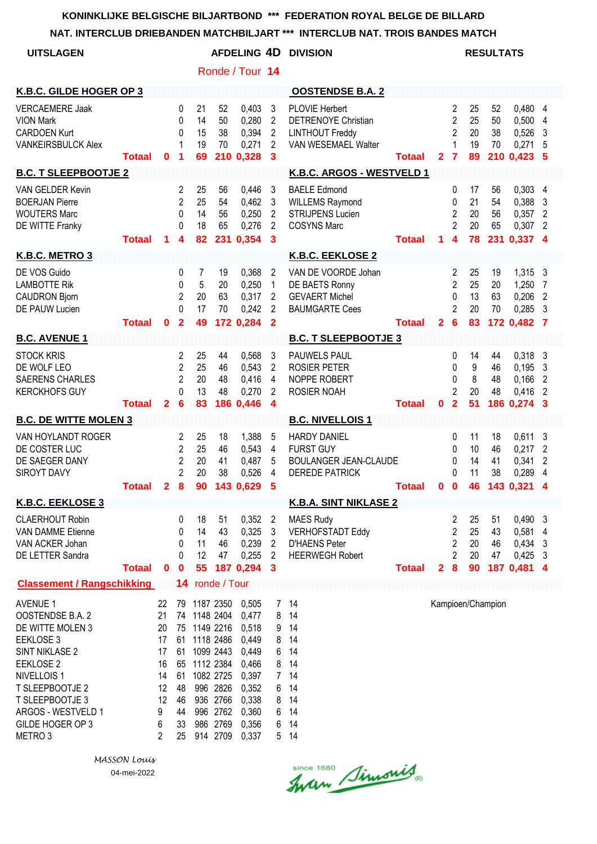**NAT. INTERCLUB DRIEBANDEN MATCHBILJART \*\*\* INTERCLUB NAT. TROIS BANDES MATCH**

| NAT. INTERVEUD DRIEDANDEN MATURDIEJART                                                                                                                                                                                                     |                           |                                                                   |                                                                               |                                                                                           | ENGLUD INAT. TNUIS DANDES MATGH                                       |                                                                                                          |                                                                                    |                                                                                                  |               |                |                                                                                       |                            |                             |                                                         |                                                                  |
|--------------------------------------------------------------------------------------------------------------------------------------------------------------------------------------------------------------------------------------------|---------------------------|-------------------------------------------------------------------|-------------------------------------------------------------------------------|-------------------------------------------------------------------------------------------|-----------------------------------------------------------------------|----------------------------------------------------------------------------------------------------------|------------------------------------------------------------------------------------|--------------------------------------------------------------------------------------------------|---------------|----------------|---------------------------------------------------------------------------------------|----------------------------|-----------------------------|---------------------------------------------------------|------------------------------------------------------------------|
| <b>UITSLAGEN</b>                                                                                                                                                                                                                           |                           |                                                                   |                                                                               |                                                                                           |                                                                       | <b>AFDELING 4D</b>                                                                                       |                                                                                    | <b>DIVISION</b>                                                                                  |               |                |                                                                                       |                            | <b>RESULTATS</b>            |                                                         |                                                                  |
|                                                                                                                                                                                                                                            |                           |                                                                   |                                                                               |                                                                                           |                                                                       | Ronde / Tour 14                                                                                          |                                                                                    |                                                                                                  |               |                |                                                                                       |                            |                             |                                                         |                                                                  |
| K.B.C. GILDE HOGER OP 3                                                                                                                                                                                                                    |                           |                                                                   |                                                                               |                                                                                           |                                                                       |                                                                                                          |                                                                                    | <b>OOSTENDSE B.A. 2</b>                                                                          |               |                |                                                                                       |                            |                             |                                                         |                                                                  |
| <b>VERCAEMERE Jaak</b><br><b>VION Mark</b><br><b>CARDOEN Kurt</b><br><b>VANKEIRSBULCK Alex</b>                                                                                                                                             | <b>Totaal</b>             | $\mathbf{0}$                                                      | 0<br>0<br>0<br>$\mathbf 1$<br>1                                               | 21<br>14<br>15<br>19<br>69                                                                | 52<br>50<br>38<br>70                                                  | 0,403<br>0,280<br>0,394<br>0,271<br>210 0,328                                                            | 3<br>$\overline{2}$<br>$\overline{2}$<br>$\overline{2}$<br>3                       | <b>PLOVIE Herbert</b><br>DETRENOYE Christian<br><b>LINTHOUT Freddy</b><br>VAN WESEMAEL Walter    | <b>Totaal</b> | 2 <sub>7</sub> | 2<br>$\overline{2}$<br>$\overline{2}$<br>$\mathbf{1}$                                 | 25<br>25<br>20<br>19<br>89 | 52<br>50<br>38<br>70        | 0,480 4<br>0,500<br>0,526<br>0,271<br>210 0.423         | 4<br>3<br>5<br>5                                                 |
| <b>B.C. T SLEEPBOOTJE 2</b>                                                                                                                                                                                                                |                           |                                                                   |                                                                               |                                                                                           |                                                                       |                                                                                                          |                                                                                    | K.B.C. ARGOS - WESTVELD 1                                                                        |               |                |                                                                                       |                            |                             |                                                         |                                                                  |
| VAN GELDER Kevin<br><b>BOERJAN Pierre</b><br><b>WOUTERS Marc</b><br>DE WITTE Franky                                                                                                                                                        | <b>Totaal</b>             | 1                                                                 | 2<br>$\overline{2}$<br>0<br>0<br>4                                            | 25<br>25<br>14<br>18<br>82                                                                | 56<br>54<br>56<br>65<br>231                                           | 0,446<br>0,462<br>0,250<br>0,276<br>0,354                                                                | 3<br>3<br>$\overline{2}$<br>$\overline{2}$<br>3                                    | <b>BAELE Edmond</b><br><b>WILLEMS Raymond</b><br><b>STRIJPENS Lucien</b><br><b>COSYNS Marc</b>   | <b>Totaal</b> | 1.             | 0<br>$\mathbf 0$<br>$\overline{2}$<br>$\overline{2}$<br>$\overline{\mathbf{4}}$       | 17<br>21<br>20<br>20<br>78 | 56<br>54<br>56<br>65<br>231 | $0,303$ 4<br>0,388<br>0,357<br>0,307<br>0,337           | 3<br>$\overline{2}$<br>$\overline{2}$<br>$\overline{\mathbf{A}}$ |
| K.B.C. METRO 3                                                                                                                                                                                                                             |                           |                                                                   |                                                                               |                                                                                           |                                                                       |                                                                                                          |                                                                                    | K.B.C. EEKLOSE 2                                                                                 |               |                |                                                                                       |                            |                             |                                                         |                                                                  |
| DE VOS Guido<br><b>LAMBOTTE Rik</b><br><b>CAUDRON Bjorn</b><br><b>DE PAUW Lucien</b>                                                                                                                                                       | <b>Totaal</b>             | 0                                                                 | 0<br>0<br>2<br>$\Omega$<br>$\overline{2}$                                     | 7<br>5<br>20<br>17<br>49                                                                  | 19<br>20<br>63<br>70                                                  | 0,368<br>0,250<br>0,317<br>0,242<br>172 0,284                                                            | 2<br>$\mathbf{1}$<br>2<br>$\overline{2}$<br>$\overline{2}$                         | VAN DE VOORDE Johan<br>DE BAETS Ronny<br><b>GEVAERT Michel</b><br><b>BAUMGARTE Cees</b>          | <b>Totaal</b> | $\overline{2}$ | 2<br>$\overline{2}$<br>0<br>$\overline{2}$<br>$6\phantom{1}6$                         | 25<br>25<br>13<br>20<br>83 | 19<br>20<br>63<br>70        | 1,315 3<br>1,250<br>0,206<br>0,285<br>172 0,482         | 7<br>$\overline{2}$<br>3<br>- 7                                  |
| <b>B.C. AVENUE 1</b>                                                                                                                                                                                                                       |                           |                                                                   |                                                                               |                                                                                           |                                                                       |                                                                                                          |                                                                                    | <b>B.C. T SLEEPBOOTJE 3</b>                                                                      |               |                |                                                                                       |                            |                             |                                                         |                                                                  |
| <b>STOCK KRIS</b><br>DE WOLF LEO<br><b>SAERENS CHARLES</b><br><b>KERCKHOFS GUY</b>                                                                                                                                                         | <b>Totaal</b>             | $\mathbf{2}$                                                      | 2<br>$\overline{2}$<br>$\overline{2}$<br>0<br>$6\phantom{1}6$                 | 25<br>25<br>20<br>13<br>83                                                                | 44<br>46<br>48<br>48                                                  | 0,568<br>0,543<br>0,416<br>0,270<br>186 0,446                                                            | 3<br>2<br>4<br>$\overline{2}$<br>4                                                 | PAUWELS PAUL<br><b>ROSIER PETER</b><br>NOPPE ROBERT<br>ROSIER NOAH                               | <b>Totaal</b> | 0              | 0<br>0<br>0<br>$\overline{c}$<br>$\overline{2}$                                       | 14<br>9<br>8<br>20<br>51   | 44<br>46<br>48<br>48        | 0,318<br>0,195<br>0,166<br>0,416<br>186 0,274           | -3<br>3<br>2<br>$\overline{2}$<br>3                              |
| <b>B.C. DE WITTE MOLEN 3</b>                                                                                                                                                                                                               |                           |                                                                   |                                                                               |                                                                                           |                                                                       |                                                                                                          |                                                                                    | <b>B.C. NIVELLOIS1</b>                                                                           |               |                |                                                                                       |                            |                             |                                                         |                                                                  |
| VAN HOYLANDT ROGER<br>DE COSTER LUC<br>DE SAEGER DANY<br>SIROYT DAVY                                                                                                                                                                       | Totaal 2 8 90 143 0,629 5 |                                                                   | $\overline{c}$<br>$\overline{2}$<br>$\overline{\mathbf{c}}$<br>$\overline{2}$ | 25<br>25<br>20<br>20                                                                      | 18<br>46<br>41<br>38                                                  | 1,388<br>0,543<br>0,487<br>0,526                                                                         | 5<br>4<br>5<br>4                                                                   | <b>HARDY DANIEL</b><br><b>FURST GUY</b><br><b>BOULANGER JEAN-CLAUDE</b><br><b>DEREDE PATRICK</b> | <b>Totaal</b> |                | 0<br>0<br>0<br>0                                                                      | 11<br>10<br>14<br>11       | 18<br>46<br>41<br>38        | 0,611<br>0,217<br>0,341<br>0,289<br>0 0 46 143 0,321 4  | 3<br>$\overline{2}$<br>$\overline{2}$<br>4                       |
| <b>K.B.C. EEKLOSE 3</b>                                                                                                                                                                                                                    |                           |                                                                   |                                                                               |                                                                                           |                                                                       |                                                                                                          |                                                                                    | <b>K.B.A. SINT NIKLASE 2</b>                                                                     |               |                |                                                                                       |                            |                             |                                                         |                                                                  |
| <b>CLAERHOUT Robin</b><br><b>VAN DAMME Etienne</b><br>VAN ACKER Johan<br>DE LETTER Sandra                                                                                                                                                  | <b>Totaal</b>             | $\mathbf{0}$                                                      | 0<br>0<br>0<br>0<br>$\mathbf 0$                                               | 18<br>14<br>11<br>12<br>55                                                                | 51<br>43<br>46<br>47                                                  | 0,352<br>0,325<br>0,239<br>0,255<br>187 0,294                                                            | $\overline{2}$<br>3<br>$\overline{2}$<br>$\overline{2}$<br>$\mathbf{3}$            | <b>MAES Rudy</b><br><b>VERHOFSTADT Eddy</b><br><b>D'HAENS Peter</b><br><b>HEERWEGH Robert</b>    | <b>Totaal</b> | $\mathbf{2}$   | 2<br>$\overline{\mathbf{c}}$<br>$\overline{\mathbf{c}}$<br>$\overline{2}$<br>$\bf{8}$ | 25<br>25<br>20<br>20<br>90 | 51<br>43<br>46<br>47        | $0,490$ 3<br>0,581<br>0,434<br>$0,425$ 3<br>187 0,481 4 | 4<br>3                                                           |
| <b>Classement / Rangschikking</b>                                                                                                                                                                                                          |                           |                                                                   | 14                                                                            |                                                                                           | ronde / Tour                                                          |                                                                                                          |                                                                                    |                                                                                                  |               |                |                                                                                       |                            |                             |                                                         |                                                                  |
| <b>AVENUE 1</b><br>OOSTENDSE B.A. 2<br>DE WITTE MOLEN 3<br>EEKLOSE 3<br><b>SINT NIKLASE 2</b><br>EEKLOSE 2<br>NIVELLOIS <sub>1</sub><br>T SLEEPBOOTJE 2<br>T SLEEPBOOTJE 3<br>ARGOS - WESTVELD 1<br>GILDE HOGER OP 3<br>METRO <sub>3</sub> |                           | 22<br>21<br>20<br>17<br>17<br>16<br>14<br>12<br>12<br>9<br>6<br>2 | 79<br>61<br>48<br>46<br>44<br>33<br>25                                        | 1187 2350<br>74 1148 2404<br>75 1149 2216<br>61 1118 2486<br>61 1099 2443<br>65 1112 2384 | 1082 2725<br>996 2826<br>936 2766<br>996 2762<br>986 2769<br>914 2709 | 0,505<br>0,477<br>0,518<br>0,449<br>0,449<br>0,466<br>0,397<br>0,352<br>0,338<br>0,360<br>0,356<br>0,337 | 7 <sup>7</sup><br>8<br>9<br>8<br>6<br>8<br>7 <sup>1</sup><br>6<br>8<br>6<br>6<br>5 | 14<br>14<br>14<br>14<br>14<br>14<br>14<br>14<br>14<br>14<br>14<br>14                             |               |                |                                                                                       |                            | Kampioen/Champion           |                                                         |                                                                  |

since 1680 Simonis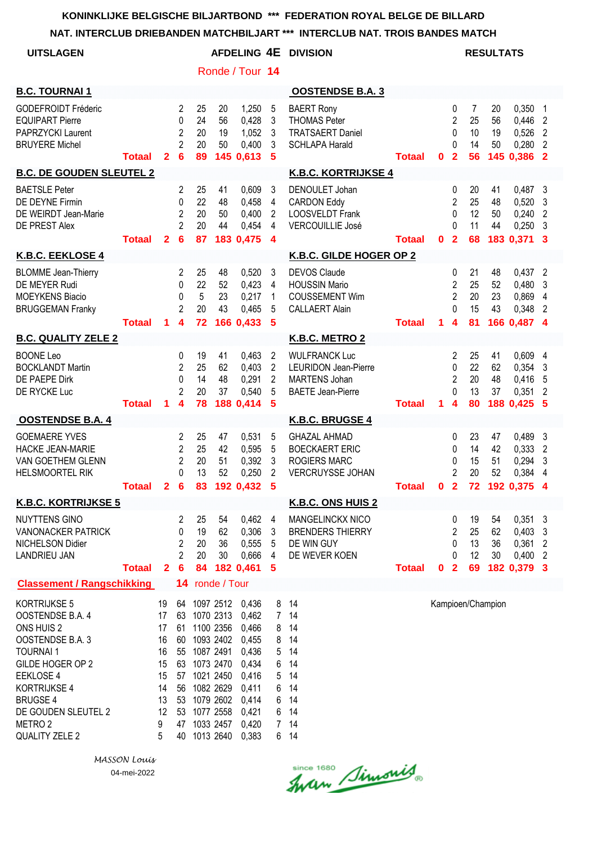#### **NAT. INTERCLUB DRIEBANDEN MATCHBILJART \*\*\* INTERCLUB NAT. TROIS BANDES MATCH**

|                                                                                                                                                                                                                                 |               |                                                                    |                                                                                       |                            |                                                                                                                                             |                                                                                                          |                                                                                                  | NAT. INTERCLUB DRIEBANDEN MATCHBILJART *** INTERCLUB NAT. TROIS BANDES MATCH                            |               |             |                                                                              |                            |                      |                                                                 |                                                       |
|---------------------------------------------------------------------------------------------------------------------------------------------------------------------------------------------------------------------------------|---------------|--------------------------------------------------------------------|---------------------------------------------------------------------------------------|----------------------------|---------------------------------------------------------------------------------------------------------------------------------------------|----------------------------------------------------------------------------------------------------------|--------------------------------------------------------------------------------------------------|---------------------------------------------------------------------------------------------------------|---------------|-------------|------------------------------------------------------------------------------|----------------------------|----------------------|-----------------------------------------------------------------|-------------------------------------------------------|
| <b>UITSLAGEN</b>                                                                                                                                                                                                                |               |                                                                    |                                                                                       |                            |                                                                                                                                             |                                                                                                          |                                                                                                  | AFDELING 4E DIVISION                                                                                    |               |             |                                                                              |                            | <b>RESULTATS</b>     |                                                                 |                                                       |
|                                                                                                                                                                                                                                 |               |                                                                    |                                                                                       |                            |                                                                                                                                             | Ronde / Tour 14                                                                                          |                                                                                                  |                                                                                                         |               |             |                                                                              |                            |                      |                                                                 |                                                       |
| <b>B.C. TOURNAI 1</b>                                                                                                                                                                                                           |               |                                                                    |                                                                                       |                            |                                                                                                                                             |                                                                                                          |                                                                                                  | <b>OOSTENDSE B.A. 3</b>                                                                                 |               |             |                                                                              |                            |                      |                                                                 |                                                       |
| <b>GODEFROIDT Fréderic</b><br><b>EQUIPART Pierre</b><br>PAPRZYCKI Laurent<br><b>BRUYERE Michel</b>                                                                                                                              | <b>Totaal</b> | $\mathbf{2}$                                                       | $\overline{2}$<br>$\mathbf{0}$<br>$\overline{2}$<br>$\overline{2}$<br>$6\phantom{1}6$ | 25<br>24<br>20<br>20<br>89 | 20<br>56<br>19<br>50                                                                                                                        | 1,250<br>0,428<br>1,052<br>0,400<br>145 0,613                                                            | 5<br>3<br>$\mathbf{3}$<br>3<br>$\sqrt{5}$                                                        | <b>BAERT Rony</b><br><b>THOMAS Peter</b><br><b>TRATSAERT Daniel</b><br><b>SCHLAPA Harald</b>            | <b>Totaal</b> | 0           | 0<br>$\overline{2}$<br>0<br>0<br>$\overline{2}$                              | 7<br>25<br>10<br>14<br>56  | 20<br>56<br>19<br>50 | 0,350<br>0,446<br>0,526<br>0,280<br>145 0,386 2                 | $\mathbf{1}$<br>2<br>$\overline{2}$<br>$\overline{2}$ |
| <b>B.C. DE GOUDEN SLEUTEL 2</b>                                                                                                                                                                                                 |               |                                                                    |                                                                                       |                            |                                                                                                                                             |                                                                                                          |                                                                                                  | <b>K.B.C. KORTRIJKSE 4</b>                                                                              |               |             |                                                                              |                            |                      |                                                                 |                                                       |
| <b>BAETSLE Peter</b><br>DE DEYNE Firmin<br>DE WEIRDT Jean-Marie<br>DE PREST Alex                                                                                                                                                | <b>Totaal</b> | $\mathbf{2}$                                                       | 2<br>$\mathbf{0}$<br>$\overline{2}$<br>$\overline{2}$<br>$6\phantom{1}6$              | 25<br>22<br>20<br>20<br>87 | 41<br>48<br>50<br>44                                                                                                                        | 0,609<br>0,458<br>0,400<br>0,454<br>183 0,475                                                            | 3<br>$\overline{4}$<br>$\overline{2}$<br>4<br>$\overline{\mathbf{4}}$                            | DENOULET Johan<br><b>CARDON Eddy</b><br><b>LOOSVELDT Frank</b><br><b>VERCOUILLIE José</b>               | <b>Totaal</b> | $\mathbf 0$ | 0<br>$\overline{2}$<br>$\Omega$<br>0<br>$\overline{2}$                       | 20<br>25<br>12<br>11<br>68 | 41<br>48<br>50<br>44 | $0,487$ 3<br>$0,520$ 3<br>0,240<br>$0,250$ 3<br>183 0,371 3     | $\overline{2}$                                        |
| K.B.C. EEKLOSE 4                                                                                                                                                                                                                |               |                                                                    |                                                                                       |                            |                                                                                                                                             |                                                                                                          |                                                                                                  | K.B.C. GILDE HOGER OP 2                                                                                 |               |             |                                                                              |                            |                      |                                                                 |                                                       |
| <b>BLOMME</b> Jean-Thierry<br>DE MEYER Rudi<br><b>MOEYKENS Biacio</b><br><b>BRUGGEMAN Franky</b>                                                                                                                                | <b>Totaal</b> | 1.                                                                 | 2<br>$\mathbf{0}$<br>$\mathbf{0}$<br>$\overline{2}$<br>$\overline{\mathbf{4}}$        | 25<br>22<br>5<br>20<br>72  | 48<br>52<br>23<br>43                                                                                                                        | 0,520<br>0,423<br>0,217<br>0,465<br>166 0,433                                                            | 3<br>$\overline{4}$<br>1<br>5<br>-5                                                              | <b>DEVOS Claude</b><br><b>HOUSSIN Mario</b><br><b>COUSSEMENT Wim</b><br><b>CALLAERT Alain</b>           | <b>Totaal</b> | $\mathbf 1$ | 0<br>$\overline{2}$<br>$\overline{2}$<br>$\Omega$<br>$\overline{\mathbf{4}}$ | 21<br>25<br>20<br>15<br>81 | 48<br>52<br>23<br>43 | $0,437$ 2<br>$0,480$ 3<br>0,869 4<br>0,348 2<br>166 0,487 4     |                                                       |
| <b>B.C. QUALITY ZELE 2</b>                                                                                                                                                                                                      |               |                                                                    |                                                                                       |                            |                                                                                                                                             |                                                                                                          |                                                                                                  | K.B.C. METRO 2                                                                                          |               |             |                                                                              |                            |                      |                                                                 |                                                       |
| <b>BOONE Leo</b><br><b>BOCKLANDT Martin</b><br>DE PAEPE Dirk<br>DE RYCKE Luc                                                                                                                                                    | <b>Totaal</b> | 1                                                                  | 0<br>$\overline{2}$<br>0<br>$\overline{2}$<br>4                                       | 19<br>25<br>14<br>20<br>78 | 41<br>62<br>48<br>37                                                                                                                        | 0,463<br>0,403<br>0,291<br>0,540<br>188 0,414                                                            | $\overline{2}$<br>$\overline{2}$<br>$\overline{2}$<br>5<br>5                                     | <b>WULFRANCK Luc</b><br><b>LEURIDON Jean-Pierre</b><br><b>MARTENS Johan</b><br><b>BAETE Jean-Pierre</b> | <b>Totaal</b> | 1.          | 2<br>0<br>$\overline{c}$<br>0<br>4                                           | 25<br>22<br>20<br>13<br>80 | 41<br>62<br>48<br>37 | 0,609<br>0,354<br>0,416<br>0,351<br>188 0,425                   | 4<br>3<br>5<br>$\overline{2}$<br>5                    |
| <b>OOSTENDSE B.A. 4</b>                                                                                                                                                                                                         |               |                                                                    |                                                                                       |                            |                                                                                                                                             |                                                                                                          |                                                                                                  | K.B.C. BRUGSE 4                                                                                         |               |             |                                                                              |                            |                      |                                                                 |                                                       |
| <b>GOEMAERE YVES</b><br><b>HACKE JEAN-MARIE</b><br>VAN GOETHEM GLENN<br><b>HELSMOORTEL RIK</b>                                                                                                                                  | <b>Totaal</b> |                                                                    | 2<br>2<br>2<br>0<br>2 <sub>6</sub>                                                    | 25<br>25<br>20<br>13<br>83 | 47<br>42<br>51<br>52                                                                                                                        | 0,531<br>0,595<br>0,392<br>0,250<br>192 0,432 5                                                          | 5<br>5<br>$\mathbf{3}$<br>2                                                                      | <b>GHAZAL AHMAD</b><br><b>BOECKAERT ERIC</b><br><b>ROGIERS MARC</b><br>VERCRUYSSE JOHAN                 | <b>Totaal</b> |             | 0<br>0<br>0<br>2<br>0 <sub>2</sub>                                           | 23<br>14<br>15<br>20       | 47<br>42<br>51<br>52 | 0,489 3<br>0,333<br>0,294<br>0,384<br>72 192 0,375 4            | $\overline{2}$<br>3<br>$\overline{4}$                 |
| <b>K.B.C. KORTRIJKSE 5</b>                                                                                                                                                                                                      |               |                                                                    |                                                                                       |                            |                                                                                                                                             |                                                                                                          |                                                                                                  | <b>K.B.C. ONS HUIS 2</b>                                                                                |               |             |                                                                              |                            |                      |                                                                 |                                                       |
| <b>NUYTTENS GINO</b><br><b>VANONACKER PATRICK</b><br><b>NICHELSON Didier</b><br><b>LANDRIEU JAN</b>                                                                                                                             | <b>Totaal</b> | $\mathbf{2}$                                                       | 2<br>0<br>2<br>2<br>$6\phantom{1}6$                                                   | 25<br>19<br>20<br>20<br>84 | 54<br>62<br>36<br>30                                                                                                                        | 0,462<br>0,306<br>0,555<br>0,666<br>182 0,461                                                            | 4<br>3<br>5<br>4<br>5                                                                            | <b>MANGELINCKX NICO</b><br><b>BRENDERS THIERRY</b><br>DE WIN GUY<br>DE WEVER KOEN                       | <b>Totaal</b> | 0           | 0<br>2<br>0<br>0<br>$\overline{2}$                                           | 19<br>25<br>13<br>12<br>69 | 54<br>62<br>36<br>30 | $0,351$ 3<br>$0,403$ 3<br>$0,361$ 2<br>$0,400$ 2<br>182 0,379 3 |                                                       |
| <b>Classement / Rangschikking</b>                                                                                                                                                                                               |               |                                                                    | 14                                                                                    |                            | ronde / Tour                                                                                                                                |                                                                                                          |                                                                                                  |                                                                                                         |               |             |                                                                              |                            |                      |                                                                 |                                                       |
| KORTRIJKSE 5<br>OOSTENDSE B.A. 4<br>ONS HUIS 2<br>OOSTENDSE B.A. 3<br><b>TOURNAI1</b><br>GILDE HOGER OP 2<br>EEKLOSE 4<br><b>KORTRIJKSE 4</b><br><b>BRUGSE 4</b><br>DE GOUDEN SLEUTEL 2<br>METRO <sub>2</sub><br>QUALITY ZELE 2 |               | 19<br>17<br>17<br>16<br>16<br>15<br>15<br>14<br>13<br>12<br>9<br>5 | 63<br>61<br>60<br>55<br>63<br>57<br>56<br>53<br>53<br>47<br>40                        | 64 1097 2512               | 1070 2313<br>1100 2356<br>1093 2402<br>1087 2491<br>1073 2470<br>1021 2450<br>1082 2629<br>1079 2602<br>1077 2558<br>1033 2457<br>1013 2640 | 0,436<br>0,462<br>0,466<br>0,455<br>0,436<br>0,434<br>0,416<br>0,411<br>0,414<br>0,421<br>0,420<br>0,383 | 8<br>$7\overline{ }$<br>8<br>8<br>5<br>6<br>5<br>6<br>6<br>6<br>$\overline{7}$<br>6 <sup>1</sup> | 14<br>14<br>14<br>14<br>14<br>14<br>14<br>14<br>14<br>14<br>14<br>14                                    |               |             |                                                                              |                            | Kampioen/Champion    |                                                                 |                                                       |

Since 1680 Simonis